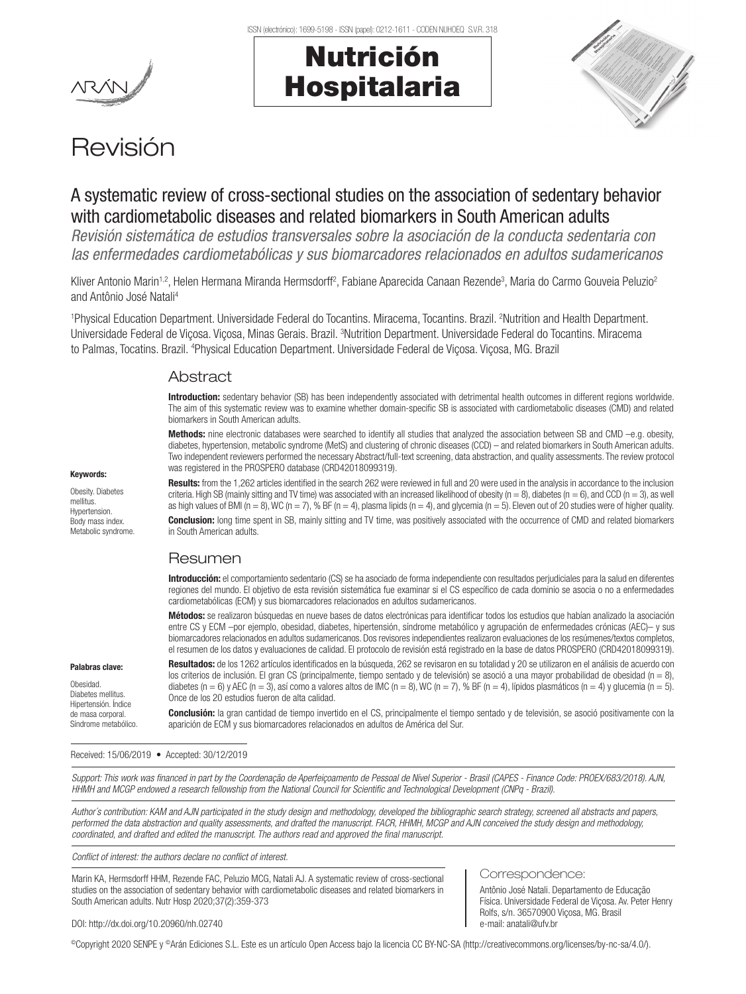

# Nutrición Hospitalaria



## Revisión

## A systematic review of cross-sectional studies on the association of sedentary behavior with cardiometabolic diseases and related biomarkers in South American adults

*Revisión sistemática de estudios transversales sobre la asociación de la conducta sedentaria con las enfermedades cardiometabólicas y sus biomarcadores relacionados en adultos sudamericanos*

Kliver Antonio Marin<sup>1,2</sup>, Helen Hermana Miranda Hermsdorff<sup>2</sup>, Fabiane Aparecida Canaan Rezende<sup>3</sup>, Maria do Carmo Gouveia Peluzio<sup>2</sup> and Antônio José Natali4

1 Physical Education Department. Universidade Federal do Tocantins. Miracema, Tocantins. Brazil. 2 Nutrition and Health Department. Universidade Federal de Viçosa. Viçosa, Minas Gerais. Brazil. <sup>3</sup>Nutrition Department. Universidade Federal do Tocantins. Miracema to Palmas, Tocatins. Brazil. <sup>4</sup>Physical Education Department. Universidade Federal de Viçosa. Viçosa, MG. Brazil

#### **Abstract**

Introduction: sedentary behavior (SB) has been independently associated with detrimental health outcomes in different regions worldwide. The aim of this systematic review was to examine whether domain-specific SB is associated with cardiometabolic diseases (CMD) and related biomarkers in South American adults.

Methods: nine electronic databases were searched to identify all studies that analyzed the association between SB and CMD –e.g. obesity, diabetes, hypertension, metabolic syndrome (MetS) and clustering of chronic diseases (CCD) – and related biomarkers in South American adults. Two independent reviewers performed the necessary Abstract/full-text screening, data abstraction, and quality assessments. The review protocol was registered in the PROSPERO database (CRD42018099319).

Keywords: Obesity. Diabetes

mellitus. Hypertension. Body mass index. Metabolic syndrome. Results: from the 1,262 articles identified in the search 262 were reviewed in full and 20 were used in the analysis in accordance to the inclusion criteria. High SB (mainly sitting and TV time) was associated with an increased likelihood of obesity (n = 8), diabetes (n = 6), and CCD (n = 3), as well as high values of BMI ( $n = 8$ ), WC ( $n = 7$ ), % BF ( $n = 4$ ), plasma lipids ( $n = 4$ ), and glycemia ( $n = 5$ ). Eleven out of 20 studies were of higher quality.

**Conclusion:** long time spent in SB, mainly sitting and TV time, was positively associated with the occurrence of CMD and related biomarkers in South American adults.

## Resumen

Introducción: el comportamiento sedentario (CS) se ha asociado de forma independiente con resultados perjudiciales para la salud en diferentes regiones del mundo. El objetivo de esta revisión sistemática fue examinar si el CS específico de cada dominio se asocia o no a enfermedades cardiometabólicas (ECM) y sus biomarcadores relacionados en adultos sudamericanos.

Métodos: se realizaron búsquedas en nueve bases de datos electrónicas para identificar todos los estudios que habían analizado la asociación entre CS y ECM –por ejemplo, obesidad, diabetes, hipertensión, síndrome metabólico y agrupación de enfermedades crónicas (AEC)– y sus biomarcadores relacionados en adultos sudamericanos. Dos revisores independientes realizaron evaluaciones de los resúmenes/textos completos, el resumen de los datos y evaluaciones de calidad. El protocolo de revisión está registrado en la base de datos PROSPERO (CRD42018099319).

Palabras clave:

Obesidad. Diabetes mellitus. Hipertensión. Índice de masa corporal. Síndrome metabólico.

Resultados: de los 1262 artículos identificados en la búsqueda, 262 se revisaron en su totalidad y 20 se utilizaron en el análisis de acuerdo con los criterios de inclusión. El gran CS (principalmente, tiempo sentado y de televisión) se asoció a una mayor probabilidad de obesidad (n = 8), diabetes (n = 6) y AEC (n = 3), así como a valores altos de IMC (n = 8), WC (n = 7), % BF (n = 4), lípidos plasmáticos (n = 4) y glucemia (n = 5). Once de los 20 estudios fueron de alta calidad.

Conclusión: la gran cantidad de tiempo invertido en el CS, principalmente el tiempo sentado y de televisión, se asoció positivamente con la aparición de ECM y sus biomarcadores relacionados en adultos de América del Sur.

Received: 15/06/2019 • Accepted: 30/12/2019

*Support: This work was financed in part by the Coordenação de Aperfeiçoamento de Pessoal de Nível Superior - Brasil (CAPES - Finance Code: PROEX/683/2018). AJN, HHMH and MCGP endowed a research fellowship from the National Council for Scientific and Technological Development (CNPq - Brazil).*

*Author´s contribution: KAM and AJN participated in the study design and methodology, developed the bibliographic search strategy, screened all abstracts and papers, performed the data abstraction and quality assessments, and drafted the manuscript. FACR, HHMH, MCGP and AJN conceived the study design and methodology, coordinated, and drafted and edited the manuscript. The authors read and approved the final manuscript.*

*Conflict of interest: the authors declare no conflict of interest.*

Marin KA, Hermsdorff HHM, Rezende FAC, Peluzio MCG, Natali AJ. A systematic review of cross-sectional studies on the association of sedentary behavior with cardiometabolic diseases and related biomarkers in South American adults. Nutr Hosp 2020;37(2):359-373

#### Correspondence:

Antônio José Natali. Departamento de Educação Física. Universidade Federal de Viçosa. Av. Peter Henry Rolfs, s/n. 36570900 Viçosa, MG. Brasil e-mail: anatali@ufv.br

DOI: http://dx.doi.org/10.20960/nh.02740

©Copyright 2020 SENPE y ©Arán Ediciones S.L. Este es un artículo Open Access bajo la licencia CC BY-NC-SA (http://creativecommons.org/licenses/by-nc-sa/4.0/).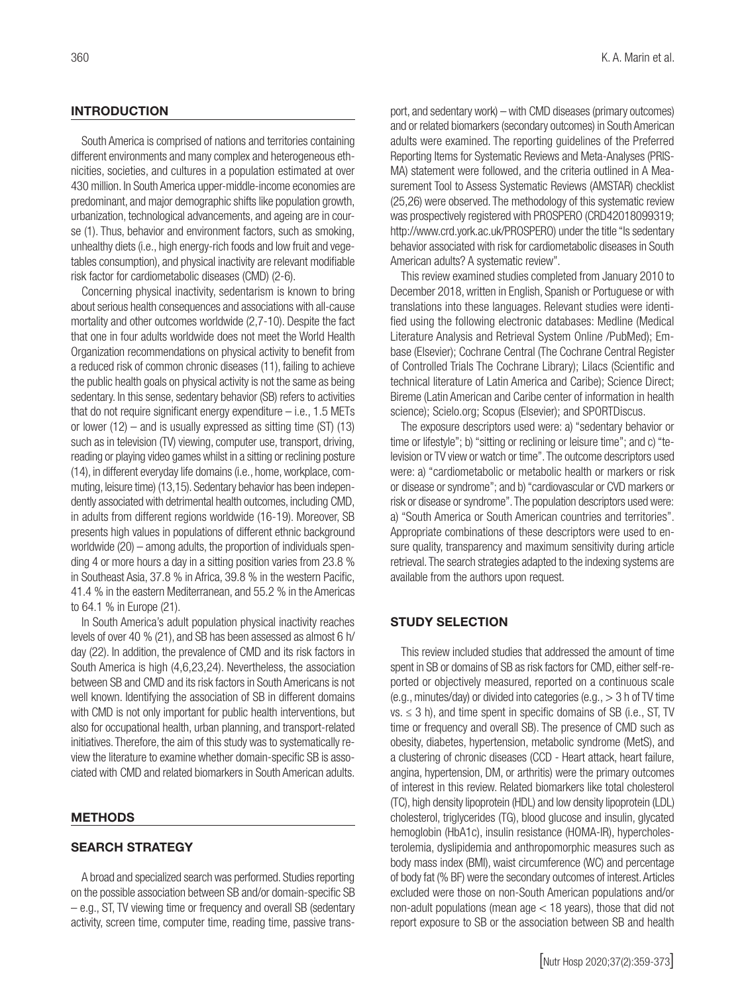#### **INTRODUCTION**

South America is comprised of nations and territories containing different environments and many complex and heterogeneous ethnicities, societies, and cultures in a population estimated at over 430 million. In South America upper-middle-income economies are predominant, and major demographic shifts like population growth, urbanization, technological advancements, and ageing are in course (1). Thus, behavior and environment factors, such as smoking, unhealthy diets (i.e., high energy-rich foods and low fruit and vegetables consumption), and physical inactivity are relevant modifiable risk factor for cardiometabolic diseases (CMD) (2-6).

Concerning physical inactivity, sedentarism is known to bring about serious health consequences and associations with all-cause mortality and other outcomes worldwide (2,7-10). Despite the fact that one in four adults worldwide does not meet the World Health Organization recommendations on physical activity to benefit from a reduced risk of common chronic diseases (11), failing to achieve the public health goals on physical activity is not the same as being sedentary. In this sense, sedentary behavior (SB) refers to activities that do not require significant energy expenditure  $-$  i.e., 1.5 METs or lower (12) – and is usually expressed as sitting time (ST) (13) such as in television (TV) viewing, computer use, transport, driving, reading or playing video games whilst in a sitting or reclining posture (14), in different everyday life domains (i.e., home, workplace, commuting, leisure time) (13,15). Sedentary behavior has been independently associated with detrimental health outcomes, including CMD, in adults from different regions worldwide (16-19). Moreover, SB presents high values in populations of different ethnic background worldwide (20) – among adults, the proportion of individuals spending 4 or more hours a day in a sitting position varies from 23.8 % in Southeast Asia, 37.8 % in Africa, 39.8 % in the western Pacific, 41.4 % in the eastern Mediterranean, and 55.2 % in the Americas to 64.1 % in Europe (21).

In South America's adult population physical inactivity reaches levels of over 40 % (21), and SB has been assessed as almost 6 h/ day (22). In addition, the prevalence of CMD and its risk factors in South America is high (4,6,23,24). Nevertheless, the association between SB and CMD and its risk factors in South Americans is not well known. Identifying the association of SB in different domains with CMD is not only important for public health interventions, but also for occupational health, urban planning, and transport-related initiatives. Therefore, the aim of this study was to systematically review the literature to examine whether domain-specific SB is associated with CMD and related biomarkers in South American adults.

#### METHODS

#### SEARCH STRATEGY

A broad and specialized search was performed. Studies reporting on the possible association between SB and/or domain-specific SB – e.g., ST, TV viewing time or frequency and overall SB (sedentary activity, screen time, computer time, reading time, passive transport, and sedentary work) – with CMD diseases (primary outcomes) and or related biomarkers (secondary outcomes) in South American adults were examined. The reporting guidelines of the Preferred Reporting Items for Systematic Reviews and Meta-Analyses (PRIS-MA) statement were followed, and the criteria outlined in A Measurement Tool to Assess Systematic Reviews (AMSTAR) checklist (25,26) were observed. The methodology of this systematic review was prospectively registered with PROSPERO (CRD42018099319; http://www.crd.york.ac.uk/PROSPERO) under the title "Is sedentary behavior associated with risk for cardiometabolic diseases in South American adults? A systematic review".

This review examined studies completed from January 2010 to December 2018, written in English, Spanish or Portuguese or with translations into these languages. Relevant studies were identified using the following electronic databases: Medline (Medical Literature Analysis and Retrieval System Online /PubMed); Embase (Elsevier); Cochrane Central (The Cochrane Central Register of Controlled Trials The Cochrane Library); Lilacs (Scientific and technical literature of Latin America and Caribe); Science Direct; Bireme (Latin American and Caribe center of information in health science); Scielo.org; Scopus (Elsevier); and SPORTDiscus.

The exposure descriptors used were: a) "sedentary behavior or time or lifestyle"; b) "sitting or reclining or leisure time"; and c) "television or TV view or watch or time". The outcome descriptors used were: a) "cardiometabolic or metabolic health or markers or risk or disease or syndrome"; and b) "cardiovascular or CVD markers or risk or disease or syndrome". The population descriptors used were: a) "South America or South American countries and territories". Appropriate combinations of these descriptors were used to ensure quality, transparency and maximum sensitivity during article retrieval. The search strategies adapted to the indexing systems are available from the authors upon request.

#### STUDY SELECTION

This review included studies that addressed the amount of time spent in SB or domains of SB as risk factors for CMD, either self-reported or objectively measured, reported on a continuous scale (e.g., minutes/day) or divided into categories (e.g., > 3 h of TV time  $vs. \leq 3$  h), and time spent in specific domains of SB (i.e., ST, TV time or frequency and overall SB). The presence of CMD such as obesity, diabetes, hypertension, metabolic syndrome (MetS), and a clustering of chronic diseases (CCD - Heart attack, heart failure, angina, hypertension, DM, or arthritis) were the primary outcomes of interest in this review. Related biomarkers like total cholesterol (TC), high density lipoprotein (HDL) and low density lipoprotein (LDL) cholesterol, triglycerides (TG), blood glucose and insulin, glycated hemoglobin (HbA1c), insulin resistance (HOMA-IR), hypercholesterolemia, dyslipidemia and anthropomorphic measures such as body mass index (BMI), waist circumference (WC) and percentage of body fat (% BF) were the secondary outcomes of interest. Articles excluded were those on non-South American populations and/or non-adult populations (mean age < 18 years), those that did not report exposure to SB or the association between SB and health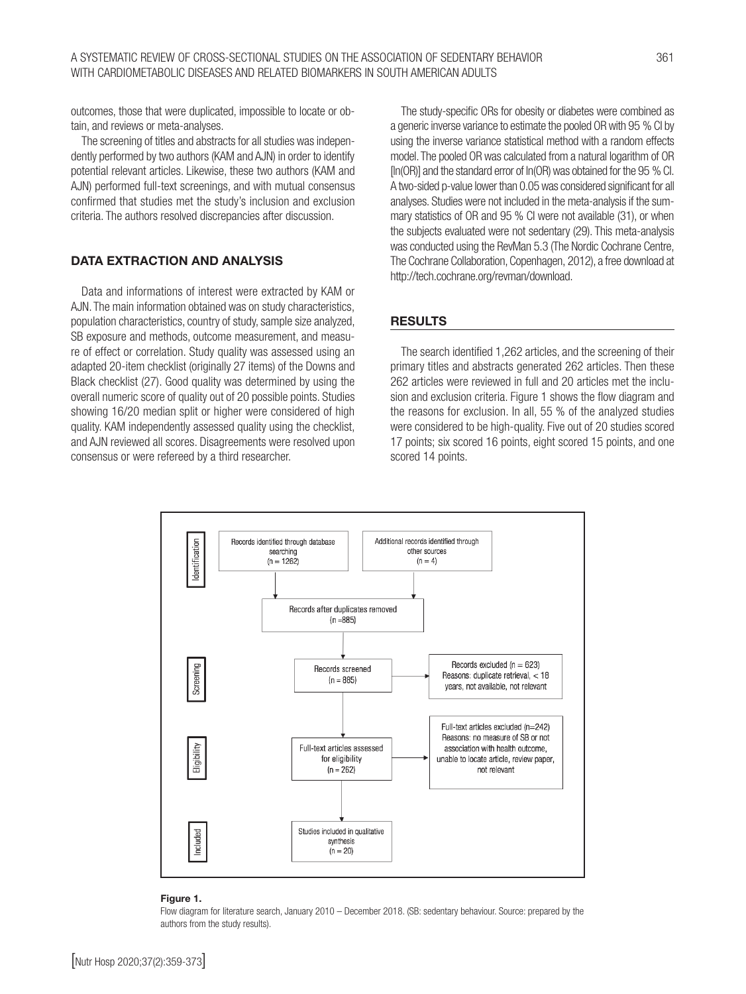outcomes, those that were duplicated, impossible to locate or obtain, and reviews or meta-analyses.

The screening of titles and abstracts for all studies was independently performed by two authors (KAM and AJN) in order to identify potential relevant articles. Likewise, these two authors (KAM and AJN) performed full-text screenings, and with mutual consensus confirmed that studies met the study's inclusion and exclusion criteria. The authors resolved discrepancies after discussion.

### DATA EXTRACTION AND ANALYSIS

Data and informations of interest were extracted by KAM or AJN. The main information obtained was on study characteristics, population characteristics, country of study, sample size analyzed, SB exposure and methods, outcome measurement, and measure of effect or correlation. Study quality was assessed using an adapted 20-item checklist (originally 27 items) of the Downs and Black checklist (27). Good quality was determined by using the overall numeric score of quality out of 20 possible points. Studies showing 16/20 median split or higher were considered of high quality. KAM independently assessed quality using the checklist, and AJN reviewed all scores. Disagreements were resolved upon consensus or were refereed by a third researcher.

The study-specific ORs for obesity or diabetes were combined as a generic inverse variance to estimate the pooled OR with 95 % CI by using the inverse variance statistical method with a random effects model. The pooled OR was calculated from a natural logarithm of OR [ln(OR)] and the standard error of ln(OR) was obtained for the 95 % CI. A two-sided p-value lower than 0.05 was considered significant for all analyses. Studies were not included in the meta-analysis if the summary statistics of OR and 95 % CI were not available (31), or when the subjects evaluated were not sedentary (29). This meta-analysis was conducted using the RevMan 5.3 (The Nordic Cochrane Centre, The Cochrane Collaboration, Copenhagen, 2012), a free download at http://tech.cochrane.org/revman/download.

#### RESULTS

The search identified 1,262 articles, and the screening of their primary titles and abstracts generated 262 articles. Then these 262 articles were reviewed in full and 20 articles met the inclusion and exclusion criteria. Figure 1 shows the flow diagram and the reasons for exclusion. In all, 55 % of the analyzed studies were considered to be high-quality. Five out of 20 studies scored 17 points; six scored 16 points, eight scored 15 points, and one scored 14 points.



#### Figure 1.

Flow diagram for literature search, January 2010 – December 2018. (SB: sedentary behaviour. Source: prepared by the authors from the study results).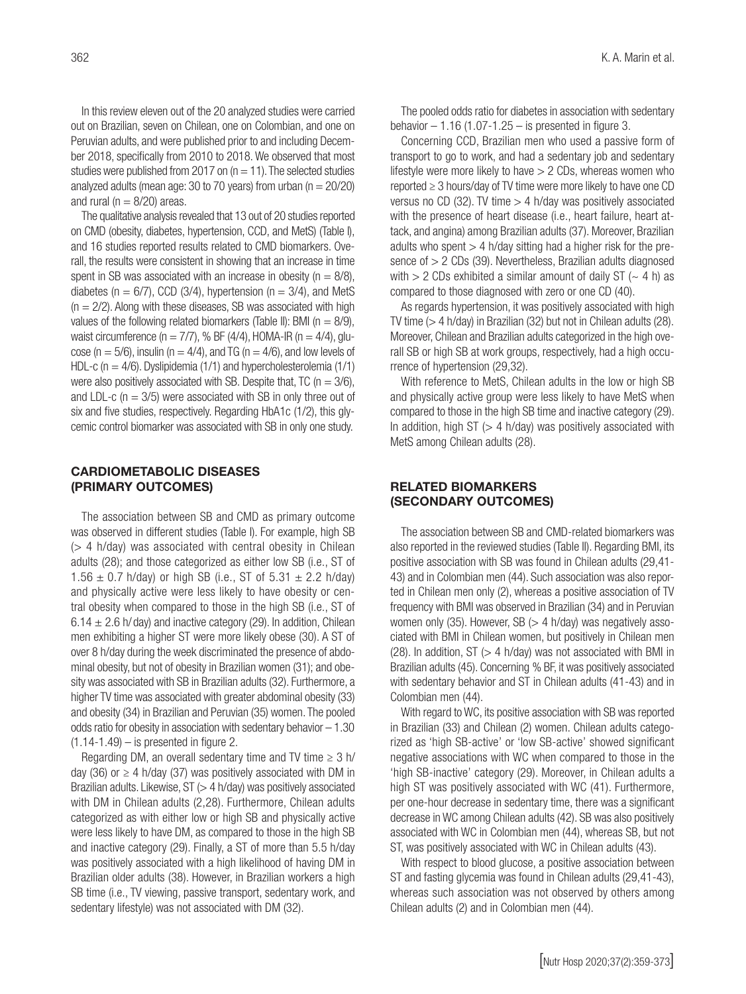In this review eleven out of the 20 analyzed studies were carried out on Brazilian, seven on Chilean, one on Colombian, and one on Peruvian adults, and were published prior to and including December 2018, specifically from 2010 to 2018. We observed that most studies were published from 2017 on  $(n = 11)$ . The selected studies analyzed adults (mean age: 30 to 70 years) from urban ( $n = 20/20$ ) and rural ( $n = 8/20$ ) areas.

The qualitative analysis revealed that 13 out of 20 studies reported on CMD (obesity, diabetes, hypertension, CCD, and MetS) (Table I), and 16 studies reported results related to CMD biomarkers. Overall, the results were consistent in showing that an increase in time spent in SB was associated with an increase in obesity ( $n = 8/8$ ), diabetes ( $n = 6/7$ ), CCD (3/4), hypertension ( $n = 3/4$ ), and MetS  $(n = 2/2)$ . Along with these diseases, SB was associated with high values of the following related biomarkers (Table II): BMI ( $n = 8/9$ ), waist circumference ( $n = 7/7$ ), % BF (4/4), HOMA-IR ( $n = 4/4$ ), glucose ( $n = 5/6$ ), insulin ( $n = 4/4$ ), and TG ( $n = 4/6$ ), and low levels of HDL-c ( $n = 4/6$ ). Dyslipidemia (1/1) and hypercholesterolemia (1/1) were also positively associated with SB. Despite that, TC ( $n = 3/6$ ), and LDL-c ( $n = 3/5$ ) were associated with SB in only three out of six and five studies, respectively. Regarding HbA1c (1/2), this glycemic control biomarker was associated with SB in only one study.

#### CARDIOMETABOLIC DISEASES (PRIMARY OUTCOMES)

The association between SB and CMD as primary outcome was observed in different studies (Table I). For example, high SB  $(> 4$  h/day) was associated with central obesity in Chilean adults (28); and those categorized as either low SB (i.e., ST of  $1.56 \pm 0.7$  h/day) or high SB (i.e., ST of  $5.31 \pm 2.2$  h/day) and physically active were less likely to have obesity or central obesity when compared to those in the high SB (i.e., ST of  $6.14 \pm 2.6$  h/day) and inactive category (29). In addition, Chilean men exhibiting a higher ST were more likely obese (30). A ST of over 8 h/day during the week discriminated the presence of abdominal obesity, but not of obesity in Brazilian women (31); and obesity was associated with SB in Brazilian adults (32). Furthermore, a higher TV time was associated with greater abdominal obesity (33) and obesity (34) in Brazilian and Peruvian (35) women. The pooled odds ratio for obesity in association with sedentary behavior – 1.30  $(1.14-1.49)$  – is presented in figure 2.

Regarding DM, an overall sedentary time and TV time  $\geq 3$  h/ day (36) or  $\geq$  4 h/day (37) was positively associated with DM in Brazilian adults. Likewise,  $ST \gg 4$  h/day) was positively associated with DM in Chilean adults (2,28). Furthermore, Chilean adults categorized as with either low or high SB and physically active were less likely to have DM, as compared to those in the high SB and inactive category (29). Finally, a ST of more than 5.5 h/day was positively associated with a high likelihood of having DM in Brazilian older adults (38). However, in Brazilian workers a high SB time (i.e., TV viewing, passive transport, sedentary work, and sedentary lifestyle) was not associated with DM (32).

The pooled odds ratio for diabetes in association with sedentary behavior  $-1.16$  (1.07-1.25  $-$  is presented in figure 3.

Concerning CCD, Brazilian men who used a passive form of transport to go to work, and had a sedentary job and sedentary lifestyle were more likely to have  $> 2$  CDs, whereas women who reported ≥ 3 hours/day of TV time were more likely to have one CD versus no CD (32). TV time  $>$  4 h/day was positively associated with the presence of heart disease (i.e., heart failure, heart attack, and angina) among Brazilian adults (37). Moreover, Brazilian adults who spent  $> 4$  h/day sitting had a higher risk for the presence of > 2 CDs (39). Nevertheless, Brazilian adults diagnosed with  $> 2$  CDs exhibited a similar amount of daily ST ( $\sim$  4 h) as compared to those diagnosed with zero or one CD (40).

As regards hypertension, it was positively associated with high TV time (> 4 h/day) in Brazilian (32) but not in Chilean adults (28). Moreover, Chilean and Brazilian adults categorized in the high overall SB or high SB at work groups, respectively, had a high occurrence of hypertension (29,32).

With reference to MetS, Chilean adults in the low or high SB and physically active group were less likely to have MetS when compared to those in the high SB time and inactive category (29). In addition, high ST  $(> 4 \text{ h/day})$  was positively associated with MetS among Chilean adults (28).

### RELATED BIOMARKERS (SECONDARY OUTCOMES)

The association between SB and CMD-related biomarkers was also reported in the reviewed studies (Table II). Regarding BMI, its positive association with SB was found in Chilean adults (29,41- 43) and in Colombian men (44). Such association was also reported in Chilean men only (2), whereas a positive association of TV frequency with BMI was observed in Brazilian (34) and in Peruvian women only (35). However, SB ( $>$  4 h/day) was negatively associated with BMI in Chilean women, but positively in Chilean men (28). In addition,  $ST \gg 4$  h/day) was not associated with BMI in Brazilian adults (45). Concerning % BF, it was positively associated with sedentary behavior and ST in Chilean adults (41-43) and in Colombian men (44).

With regard to WC, its positive association with SB was reported in Brazilian (33) and Chilean (2) women. Chilean adults categorized as 'high SB-active' or 'low SB-active' showed significant negative associations with WC when compared to those in the 'high SB-inactive' category (29). Moreover, in Chilean adults a high ST was positively associated with WC (41). Furthermore, per one-hour decrease in sedentary time, there was a significant decrease in WC among Chilean adults (42). SB was also positively associated with WC in Colombian men (44), whereas SB, but not ST, was positively associated with WC in Chilean adults (43).

With respect to blood glucose, a positive association between ST and fasting glycemia was found in Chilean adults (29,41-43), whereas such association was not observed by others among Chilean adults (2) and in Colombian men (44).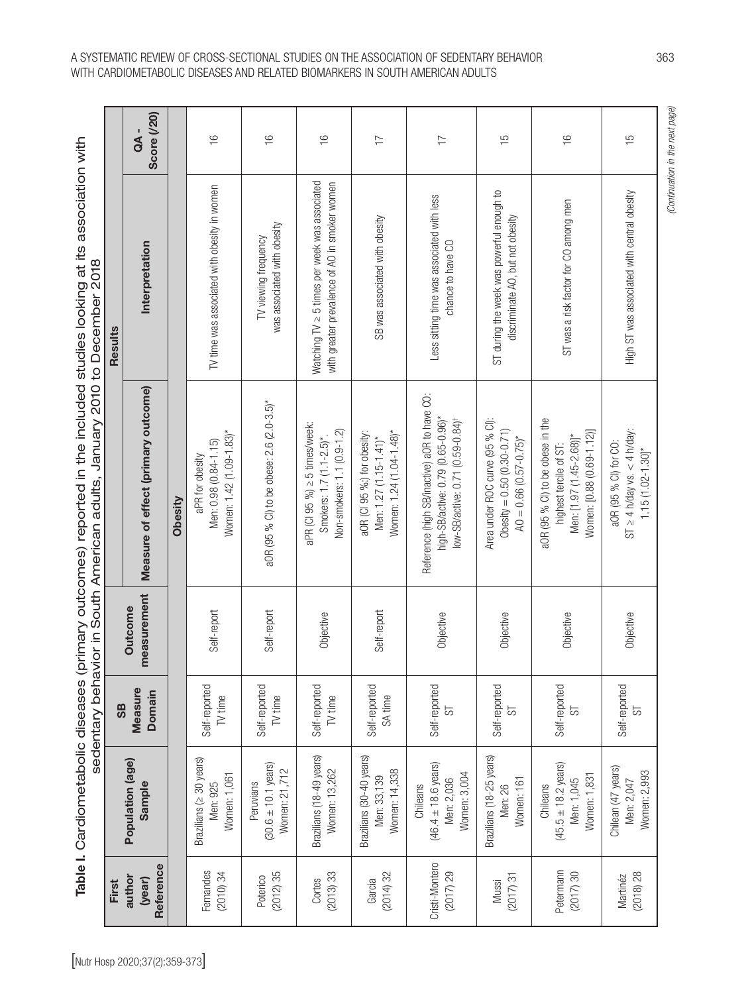|         | <b>Score (/20)</b><br>a<br>A -      |         | $\frac{1}{2}$                                                        | $\frac{6}{1}$                                                 | $\frac{6}{1}$                                                                                       | $\overline{1}$                                                                    | $\overline{1}$                                                                                                                    | $\frac{5}{1}$                                                                                         | $\frac{6}{1}$                                                                                                       | $\frac{5}{1}$                                                                      |
|---------|-------------------------------------|---------|----------------------------------------------------------------------|---------------------------------------------------------------|-----------------------------------------------------------------------------------------------------|-----------------------------------------------------------------------------------|-----------------------------------------------------------------------------------------------------------------------------------|-------------------------------------------------------------------------------------------------------|---------------------------------------------------------------------------------------------------------------------|------------------------------------------------------------------------------------|
| Results | Interpretation                      |         | TV time was associated with obesity in women                         | was associated with obesity<br>TV viewing frequency           | Watching $TV \geq 5$ times per week was associated<br>with greater prevalence of AO in smoker women | SB was associated with obesity                                                    | Less sitting time was associated with less<br>chance to have CO                                                                   | ST during the week was powerful enough to<br>discriminate AO, but not obesity                         | ST was a risk factor for CO among men                                                                               | High ST was associated with central obesity                                        |
|         | Measure of effect (primary outcome) | Obesity | Women: 1.42 (1.09-1.83)*<br>Men: 0.98 (0.84-1.15)<br>aPR for obesity | aOR (95 % Cl) to be obese: 2.6 (2.0-3.5)*                     | aPR (CI 95 %) ≥ 5 times/week:<br>Non-smokers: 1.1 (0.9-1.2)<br>Smokers: 1.7 (1.1-2.5)*              | Women: 1.24 (1.04-1.48)*<br>aOR (CI 95 %:) for obesity:<br>Men: 1.27 (1.15-1.41)* | Reference (high SB/inactive) aOR to have CO:<br>high-SB/active: 0.79 (0.65-0.96)*<br>low-SB/active: 0.71 (0.59-0.84) <sup>+</sup> | Area under ROC curve (95 % Cl):<br>$\text{Obesity} = 0.50 (0.30-0.71)$<br>$AO = 0.66 (0.57 - 0.75)^*$ | aOR (95 % Cl) to be obese in the<br>Women: [0.88 (0.69-1.12)]<br>Men: [1.97 (1.45-2.68)]*<br>highest tercile of ST: | $ST \geq 4$ h/day vs. < 4 h/day:<br>aOR (95 % Cl) for CO:<br>$1.15(1.02 - 1.30]^*$ |
|         | measurement<br>Outcome              |         | Self-report                                                          | Self-report                                                   | Objective                                                                                           | Self-report                                                                       | Objective                                                                                                                         | Objective                                                                                             | Objective                                                                                                           | Objective                                                                          |
| 9S      | Measure<br><b>Domain</b>            |         | Self-reported<br>TV time                                             | Self-reported<br>TV time                                      | Self-reported<br>TV time                                                                            | Self-reported<br>SA time                                                          | Self-reported<br>ದ                                                                                                                | Self-reported<br>55                                                                                   | Self-reported<br>ದ                                                                                                  | Self-reported<br>55                                                                |
|         | Population (age)<br>Sample          |         | Brazilians (≥ 30 years)<br>Women: 1,061<br>Men: 925                  | $(30.6 \pm 10.1 \text{ years})$<br>Women: 21,712<br>Peruvians | Brazilians (18-49 years)<br>Women: 13,262                                                           | Brazilians (30-40 years)<br>Women: 14,338<br>Men: 33,139                          | $(46.4 \pm 18.6 \text{ years})$<br>Women: 3,004<br>Men: 2,036<br>Chileans                                                         | Brazilians (18-25 years)<br>Women: 161<br>Men: 26                                                     | $(45.5 \pm 18.2 \text{ years})$<br>Women: 1,831<br>Men: 1,045<br>Chileans                                           | Chilean (47 years)<br>Women: 2,993<br>Men: 2,047                                   |
| First   | Reference<br>author<br>(year)       |         | Fernandes<br>$(2010)$ 34                                             | (2012)35<br>Poterico                                          | (2013)33<br>Cortes                                                                                  | (2014)32<br>Garcia                                                                | Cristi-Montero<br>(2017)29                                                                                                        | (2017)31<br>Mussi                                                                                     | Petermann<br>(2017)30                                                                                               | (2018) 28<br>Martinéz                                                              |

## A SYSTEMATIC REVIEW OF CROSS-SECTIONAL STUDIES ON THE ASSOCIATION OF SEDENTARY BEHAVIOR 363 WITH CARDIOMETABOLIC DISEASES AND RELATED BIOMARKERS IN SOUTH AMERICAN ADULTS

(Continuation in the next page) *(Continuation in the next page)*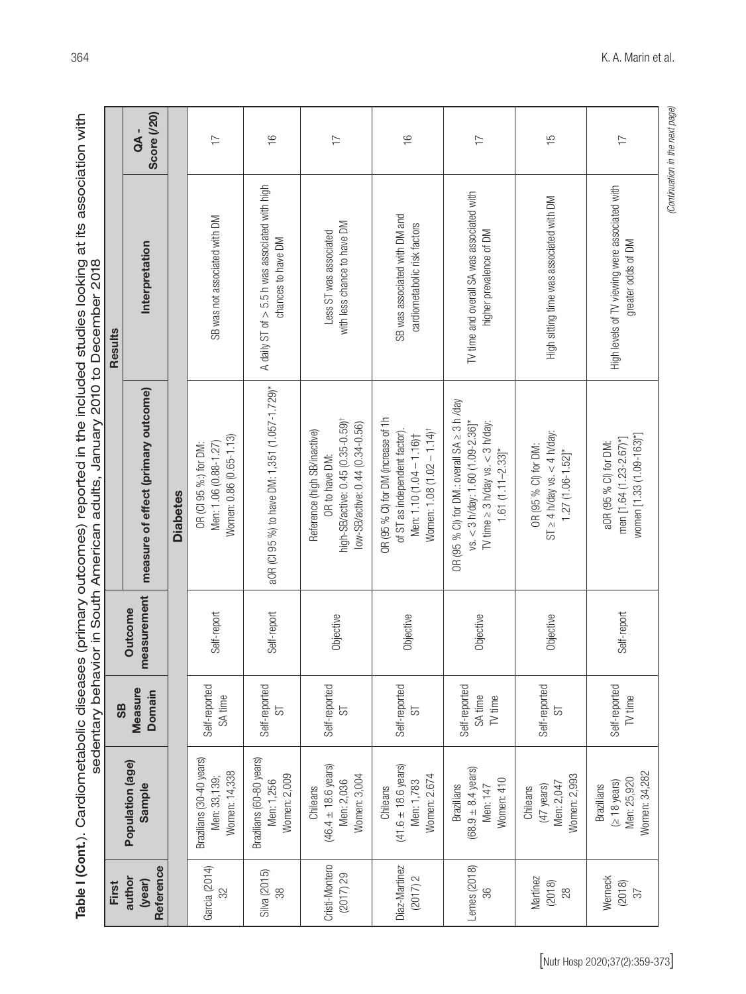| First                         |                                                                               | <b>SB</b>                           |                        |                                                                                                                                                          | Results                                                                |                           |
|-------------------------------|-------------------------------------------------------------------------------|-------------------------------------|------------------------|----------------------------------------------------------------------------------------------------------------------------------------------------------|------------------------------------------------------------------------|---------------------------|
| Reference<br>author<br>(year) | Population (age)<br>Sample                                                    | <b>Measure</b><br>Domain            | measurement<br>Outcome | measure of effect (primary outcome)                                                                                                                      | Interpretation                                                         | <b>Score (/20)</b><br>QA- |
|                               |                                                                               |                                     |                        | <b>Diabetes</b>                                                                                                                                          |                                                                        |                           |
| Garcia (2014)<br>32           | Brazilians (30-40 years)<br>Women: 14,338<br>Men: 33, 139;                    | Self-reported<br>SA time            | Self-report            | Women: 0.86 (0.65-1.13)<br>Men: 1.06 (0.88-1.27)<br>OR (CI 95 %:) for DM:                                                                                | SB was not associated with DM                                          | $\overline{1}$            |
| Silva (2015)<br>38            | Brazilians (60-80 years)<br>Women: 2,009<br>Men: 1,256                        | Self-reported<br>55                 | Self-report            | aOR (CI 95 %) to have DM: 1,351 (1.057-1.729)*                                                                                                           | A daily ST of $> 5.5$ h was associated with high<br>chances to have DM | $\frac{1}{2}$             |
| Cristi-Montero<br>(2017)29    | $(46.4 \pm 18.6 \text{ years})$<br>Women: 3,004<br>Men: 2,036<br>Chileans     | Self-reported<br>55                 | Objective              | high-SB/active: 0.45 (0.35-0.59) <sup>†</sup><br>low-SB/active: 0.44 (0.34-0.56)<br>Reference (high SB/inactive)<br>OR to have DM:                       | with less chance to have DM<br>Less ST was associated                  | $\overline{1}$            |
| Diaz-Martinez<br>(2017) 2     | $(41.6 \pm 18.6 \text{ years})$<br>Women: 2.674<br>Men: 1,783<br>Chileans     | Self-reported<br>55                 | Objective              | OR (95 % CI) for DM (increase of 1h<br>of ST as independent factor).<br>Women: 1.08 (1.02 - 1.14) <sup>†</sup><br>Men: 1.10 (1.04 - 1.16)+               | SB was associated with DM and<br>cardiometabolic risk factors          | $\frac{1}{2}$             |
| Lemes (2018)<br>36            | $(68.9 \pm 8.4 \text{ years})$<br>Women: 410<br><b>Brazilians</b><br>Men: 147 | Self-reported<br>SA time<br>TV time | Objective              | OR (95 % CI) for DM:: overall SA $\geq$ 3 h /day<br>TV time $\geq$ 3 h/day vs. < 3 h/day:<br>vs. $<$ 3 h/day: 1.60 (1.09-2.36)*<br>$1.61(1.11 - 2.33)$ * | TV time and overall SA was associated with<br>higher prevalence of DM  | $\overline{1}$            |
| Martinez<br>(2018)<br>28      | Women: 2,993<br>Men: 2,047<br>(47 years)<br>Chileans                          | Self-reported<br>55                 | Objective              | $ST \geq 4$ h/day vs. < 4 h/day:<br>OR (95 % Cl) for DM:<br>$1.27(1.06 - 1.52]^*$                                                                        | High sitting time was associated with DM                               | SH                        |
| Werneck<br>(2018)<br>57       | Women: 34,282<br>Men: 25,920<br>$($ 2 18 years)<br><b>Brazilians</b>          | Self-reported<br>TV time            | Self-report            | women [1.33 (1.09-163)*]<br>men [1.64 (1.23-2.67)*]<br>aOR (95 % Cl) for DM:                                                                             | High levels of TV viewing were associated with<br>greater odds of DM   | $\overline{1}$            |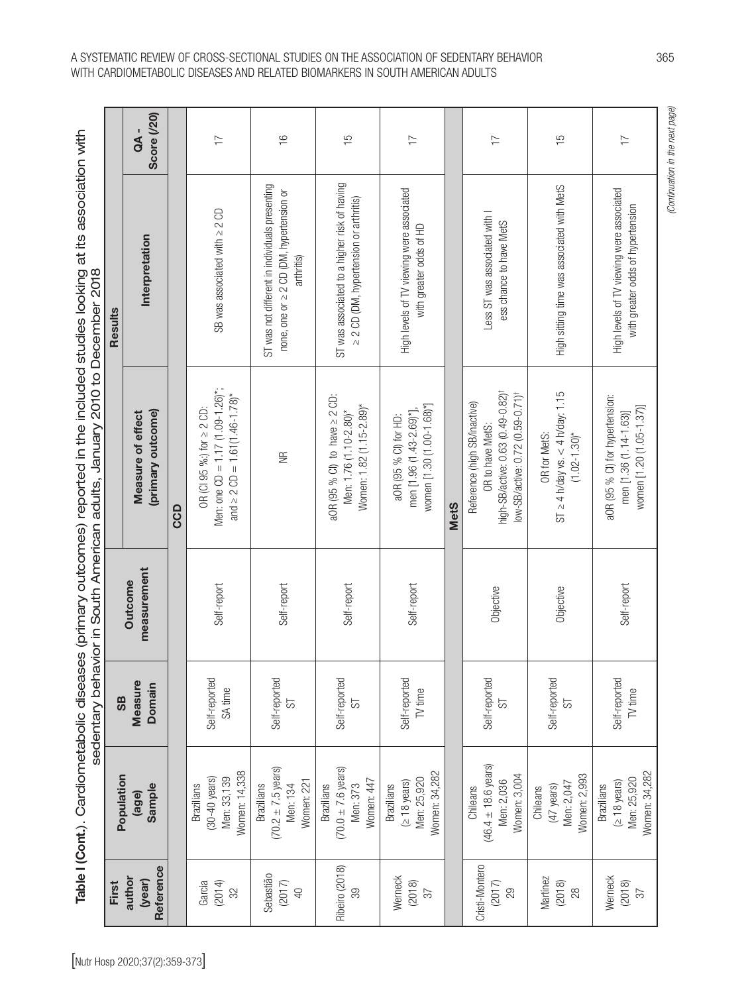Table I (Cont.). Cardiometabolic diseases (primary outcomes) reported in the included studies looking at its association with Table I (Cont.). Cardiometabolic diseases (primary outcomes) reported in the included studies looking at its association with

|                                                                            |            | <b>Score (/20)</b><br>aA -             |     | $\overline{1}$                                                                                              | $\frac{6}{1}$                                                                                            | ςĻ                                                                                       | $\overline{1}$                                                                 |             | $\overline{1}$                                                                                                                                    | $\frac{5}{1}$                                                              | $\overline{1}$                                                                        |
|----------------------------------------------------------------------------|------------|----------------------------------------|-----|-------------------------------------------------------------------------------------------------------------|----------------------------------------------------------------------------------------------------------|------------------------------------------------------------------------------------------|--------------------------------------------------------------------------------|-------------|---------------------------------------------------------------------------------------------------------------------------------------------------|----------------------------------------------------------------------------|---------------------------------------------------------------------------------------|
|                                                                            | Results    | Interpretation                         |     | SB was associated with $\geq$ 2 CD                                                                          | ST was not different in individuals presenting<br>none, one or ≥ 2 CD (DM, hypertension or<br>arthritis) | ST was associated to a higher risk of having<br>≥ 2 CD (DM, hypertension or arthritis)   | High levels of TV viewing were associated<br>with greater odds of HD           |             | Less ST was associated with I<br>ess chance to have MetS                                                                                          | High sitting time was associated with MetS                                 | High levels of TV viewing were associated<br>with greater odds of hypertension        |
| sedentary behavior in South American adults, January 2010 to December 2018 |            | (primary outcome)<br>Measure of effect | CCD | Men: one CD = $1.17$ (1.09-1.26)*;<br>and $\geq$ 2 CD = 1.61 (1.46-1.78)*<br>OR (CI 95 %:) for $\geq$ 2 CD: | $\widetilde{\equiv}$                                                                                     | aOR (95 % CI) to have $\geq$ 2 CD:<br>Women: 1.82 (1.15-2.89)*<br>Men: 1.76 (1.10-2.80)* | women [1.30 (1.00-1.68)*]<br>men [1.96 (1.43-2.69)*],<br>aOR (95 % Cl) for HD: | <b>MetS</b> | high-SB/active: 0.63 (0.49-0.82) <sup>+</sup><br>low-SB/active: 0.72 (0.59-0.71) <sup>†</sup><br>Reference (high SB/inactive)<br>OR to have MetS: | $ST \geq 4$ h/day vs. < 4 h/day: 1.15<br>$(1.02 - 1.30)$ *<br>OR for MetS: | aOR (95 % Cl) for hypertension:<br>women [1.20 (1.05-1.37)]<br>men [1.36 (1.14-1.63)] |
|                                                                            |            | measurement<br>Outcome                 |     | Self-report                                                                                                 | Self-report                                                                                              | Self-report                                                                              | Self-report                                                                    |             | Objective                                                                                                                                         | Objective                                                                  | Self-report                                                                           |
|                                                                            | <b>SB</b>  | Measure<br>Domain                      |     | Self-reported<br>SA time                                                                                    | Self-reported<br>55                                                                                      | Self-reported<br>55                                                                      | Self-reported<br>TV time                                                       |             | Self-reported<br>5                                                                                                                                | Self-reported<br>55                                                        | Self-reported<br>TV time                                                              |
|                                                                            | Population | Sample<br>(age)                        |     | Women: 14,338<br>$(30-40 \text{ years})$<br>Men: 33,139<br><b>Brazilians</b>                                | $(70.2 \pm 7.5 \text{ years})$<br>Nomen: 221<br><b>Brazilians</b><br>Men: 134                            | $(70.0 \pm 7.6 \text{ years})$<br>Women: 447<br><b>Brazilians</b><br>Men: 373            | Women: 34,282<br>Men: 25,920<br>$($ 2 18 years)<br><b>Brazilians</b>           |             | $(46.4 \pm 18.6 \text{ years})$<br>Women: 3,004<br>Men: 2,036<br>Chileans                                                                         | Women: 2,993<br>Men: 2,047<br>(47 years)<br>Chileans                       | Women: 34,282<br>Men: 25,920<br>$($ 2 18 years)<br><b>Brazilians</b>                  |
|                                                                            | First      | Reference<br>author<br>(year)          |     | Garcia<br>(2014)<br>32                                                                                      | Sebastião<br>(2017)<br>$\overline{40}$                                                                   | Ribeiro (2018)<br>39                                                                     | Werneck<br>(2018)<br>$\overline{\mathcal{E}}$                                  |             | Cristi-Montero<br>(2017)<br>29                                                                                                                    | Martínez<br>(2018)<br>28                                                   | Werneck<br>(2018)<br>$\sqrt{2}$                                                       |

## A SYSTEMATIC REVIEW OF CROSS-SECTIONAL STUDIES ON THE ASSOCIATION OF SEDENTARY BEHAVIOR 365 WITH CARDIOMETABOLIC DISEASES AND RELATED BIOMARKERS IN SOUTH AMERICAN ADULTS

(Continuation in the next page) *(Continuation in the next page)*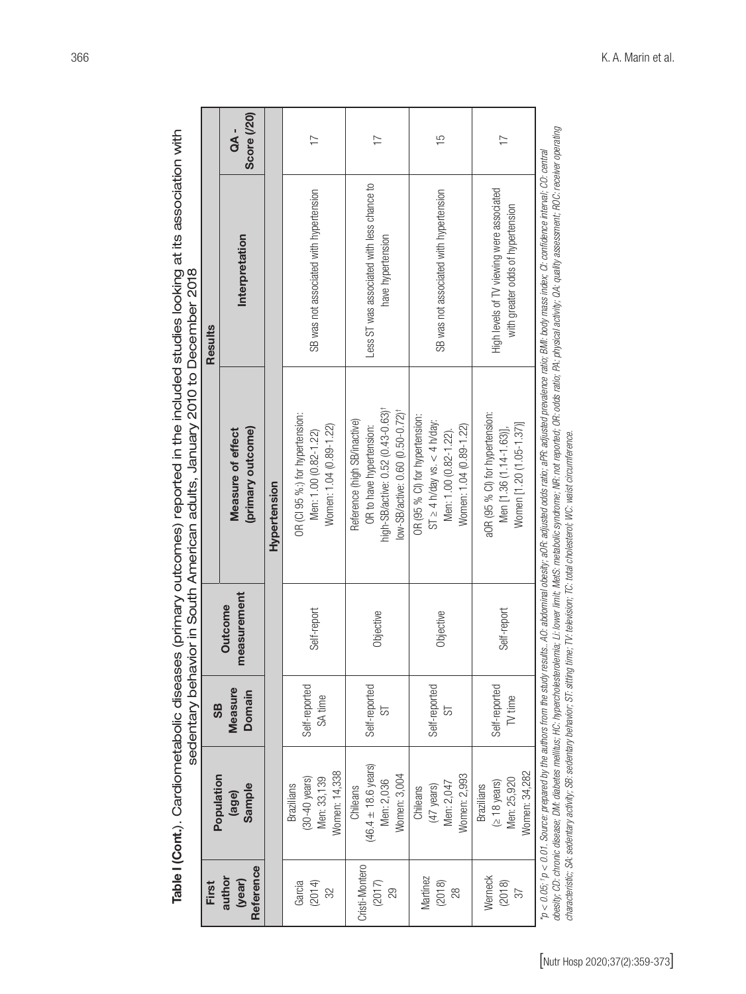| <sup>1</sup> ic diseases (primary outcomes) reported in the included studies looking at its association v |                                                                     |
|-----------------------------------------------------------------------------------------------------------|---------------------------------------------------------------------|
|                                                                                                           |                                                                     |
|                                                                                                           |                                                                     |
|                                                                                                           |                                                                     |
|                                                                                                           |                                                                     |
|                                                                                                           |                                                                     |
|                                                                                                           |                                                                     |
|                                                                                                           |                                                                     |
|                                                                                                           |                                                                     |
|                                                                                                           |                                                                     |
|                                                                                                           |                                                                     |
|                                                                                                           |                                                                     |
|                                                                                                           |                                                                     |
|                                                                                                           | N behavior in South American adults . January 2010 to December 2018 |
|                                                                                                           |                                                                     |
|                                                                                                           |                                                                     |
|                                                                                                           |                                                                     |
|                                                                                                           |                                                                     |
|                                                                                                           |                                                                     |
|                                                                                                           |                                                                     |
|                                                                                                           |                                                                     |
|                                                                                                           |                                                                     |
|                                                                                                           |                                                                     |
|                                                                                                           |                                                                     |
|                                                                                                           |                                                                     |
|                                                                                                           |                                                                     |
|                                                                                                           |                                                                     |
|                                                                                                           |                                                                     |

| Less ST was associated with less chance to<br>High levels of TV viewing were associated<br>SB was not associated with hypertension<br>SB was not associated with hypertension<br>with greater odds of hypertension<br>Interpretation<br>have hypertension<br>high-SB/active: 0.52 (0.43-0.63) <sup>†</sup><br>low-SB/active: 0.60 (0.50-0.72) <sup>+</sup><br>aOR (95 % Cl) for hypertension:<br>OR (CI 95 %:) for hypertension:<br>OR (95 % CI) for hypertension:<br>Reference (high SB/inactive)<br>$ST \geq 4$ h/day vs. < 4 h/day:<br>Women [1.20 (1.05-1.37)]<br>Women: 1.04 (0.89-1.22)<br>Women: 1.04 (0.89-1.22)<br>OR to have hypertension:<br>(primary outcome)<br>Men [1.36 (1.14-1.63)],<br>Measure of effect<br>Men: 1.00 (0.82-1.22).<br>Men: 1.00 (0.82-1.22)<br>Hypertension<br>measurement<br><b>Outcome</b><br>Self-report<br>Self-report<br>Objective<br>Objective<br>Self-reported<br>Self-reported<br>Self-reported<br>Self-reported<br>Measure<br>Domain<br>SA time<br>TV time<br><b>9S</b><br>55<br>5<br>$(46.4 \pm 18.6 \text{ years})$<br>Women: 14,338<br>Women: 2,993<br>Women: 3,004<br>Population<br>Men: 33,139<br>$(30-40 \text{ years})$<br>Men: 25,920<br>Men: 2,036<br>$($ 18 years)<br>Men: 2,047<br>Sample<br><b>Brazilians</b><br>(47 years)<br><b>Brazilians</b><br>Chileans<br>Chileans<br>(age)<br>Cristi-Montero<br>Reference<br>Werneck<br>Martinez<br>author<br>(year)<br>(2018)<br>(2018)<br>Garcia<br>(2014)<br>(2017)<br>32<br>29<br>28<br>57 | obesity, CD: chronic disease; DM, diabetes mellitus; HC: hypercholesterolenia; Li: lower limit; MetS. matabolic syndrome; MR: not reported; OR: odds ratio; PA: physical activity; QA: quality assessment; ROC: receiver opera<br>$p < 0.05$ , $p < 0.01$ . Source: prepared by the authors from the study results. .AO: abdominal obesity, aOR: adjusted odds ratio; aPR: adjusted prevalence ratio; BMI: body mass index; CI: confidence interval; CO: central<br>characteristic; SA: sedentary activity; SB: sedentary behavior; ST: sitting time; TV: television; TC: total cholesterol; WC: waist circumference.<br>Women: 34,282 | Results |                                   |
|---------------------------------------------------------------------------------------------------------------------------------------------------------------------------------------------------------------------------------------------------------------------------------------------------------------------------------------------------------------------------------------------------------------------------------------------------------------------------------------------------------------------------------------------------------------------------------------------------------------------------------------------------------------------------------------------------------------------------------------------------------------------------------------------------------------------------------------------------------------------------------------------------------------------------------------------------------------------------------------------------------------------------------------------------------------------------------------------------------------------------------------------------------------------------------------------------------------------------------------------------------------------------------------------------------------------------------------------------------------------------------------------------------------------------------------------------------------------------------------------|----------------------------------------------------------------------------------------------------------------------------------------------------------------------------------------------------------------------------------------------------------------------------------------------------------------------------------------------------------------------------------------------------------------------------------------------------------------------------------------------------------------------------------------------------------------------------------------------------------------------------------------|---------|-----------------------------------|
|                                                                                                                                                                                                                                                                                                                                                                                                                                                                                                                                                                                                                                                                                                                                                                                                                                                                                                                                                                                                                                                                                                                                                                                                                                                                                                                                                                                                                                                                                             |                                                                                                                                                                                                                                                                                                                                                                                                                                                                                                                                                                                                                                        |         | <b>Score (/20)</b><br>a<br>A<br>G |
|                                                                                                                                                                                                                                                                                                                                                                                                                                                                                                                                                                                                                                                                                                                                                                                                                                                                                                                                                                                                                                                                                                                                                                                                                                                                                                                                                                                                                                                                                             |                                                                                                                                                                                                                                                                                                                                                                                                                                                                                                                                                                                                                                        |         |                                   |
|                                                                                                                                                                                                                                                                                                                                                                                                                                                                                                                                                                                                                                                                                                                                                                                                                                                                                                                                                                                                                                                                                                                                                                                                                                                                                                                                                                                                                                                                                             |                                                                                                                                                                                                                                                                                                                                                                                                                                                                                                                                                                                                                                        |         | $\overline{1}$                    |
|                                                                                                                                                                                                                                                                                                                                                                                                                                                                                                                                                                                                                                                                                                                                                                                                                                                                                                                                                                                                                                                                                                                                                                                                                                                                                                                                                                                                                                                                                             |                                                                                                                                                                                                                                                                                                                                                                                                                                                                                                                                                                                                                                        |         | $\overline{1}$                    |
|                                                                                                                                                                                                                                                                                                                                                                                                                                                                                                                                                                                                                                                                                                                                                                                                                                                                                                                                                                                                                                                                                                                                                                                                                                                                                                                                                                                                                                                                                             |                                                                                                                                                                                                                                                                                                                                                                                                                                                                                                                                                                                                                                        |         | $\frac{5}{1}$                     |
|                                                                                                                                                                                                                                                                                                                                                                                                                                                                                                                                                                                                                                                                                                                                                                                                                                                                                                                                                                                                                                                                                                                                                                                                                                                                                                                                                                                                                                                                                             |                                                                                                                                                                                                                                                                                                                                                                                                                                                                                                                                                                                                                                        |         | $\overline{1}$                    |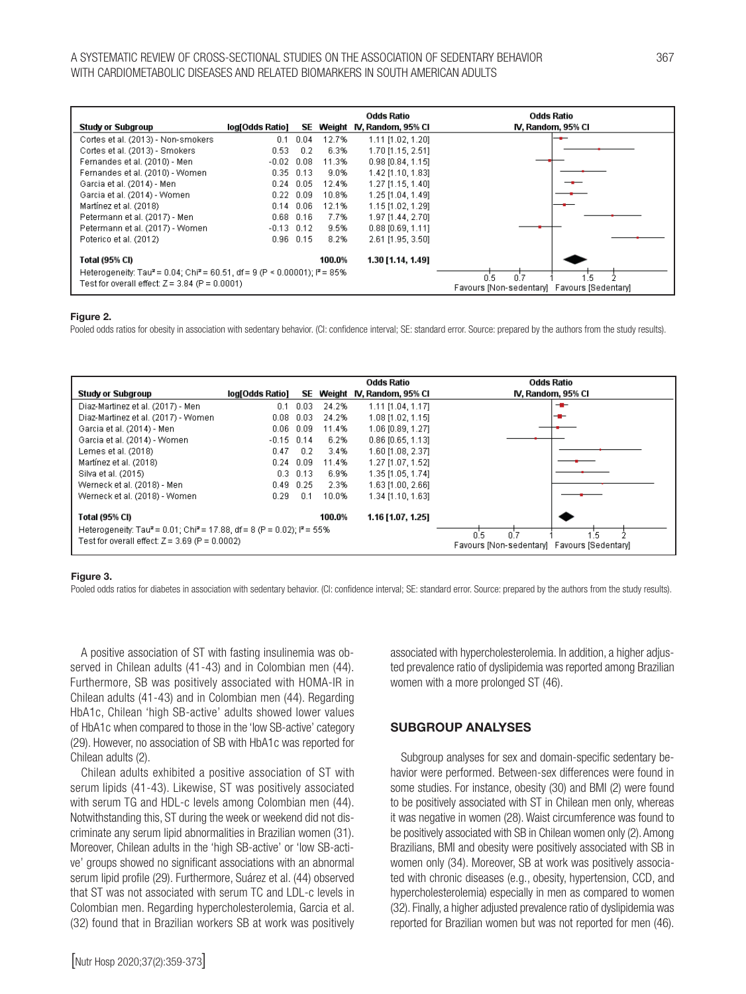#### A SYSTEMATIC REVIEW OF CROSS-SECTIONAL STUDIES ON THE ASSOCIATION OF SEDENTARY BEHAVIOR 367 WITH CARDIOMETABOLIC DISEASES AND RELATED BIOMARKERS IN SOUTH AMERICAN ADULTS

|                                                                                                    |                   |               | Odds Ratio                   | Odds Ratio                                  |
|----------------------------------------------------------------------------------------------------|-------------------|---------------|------------------------------|---------------------------------------------|
| <b>Study or Subgroup</b>                                                                           | log[Odds Ratio]   |               | SE Weight IV, Random, 95% CI | IV, Random, 95% Cl                          |
| Cortes et al. (2013) - Non-smokers                                                                 | 0.1               | 0.04<br>12.7% | 1.11 [1.02, 1.20]            |                                             |
| Cortes et al. (2013) - Smokers                                                                     | 0.53              | 6.3%<br>0.2   | 1.70 [1.15, 2.51]            |                                             |
| Fernandes et al. (2010) - Men                                                                      | $-0.02$           | 0.08<br>11.3% | $0.98$ [0.84, 1.15]          |                                             |
| Fernandes et al. (2010) - Women                                                                    | $0.35$ $0.13$     | 9.0%          | 1.42 [1.10, 1.83]            |                                             |
| Garcia et al. (2014) - Men                                                                         | $0.24$ 0.05       | 12.4%         | 1.27 [1.15, 1.40]            |                                             |
| Garcia et al. (2014) - Women                                                                       | $0.22 \quad 0.09$ | 10.8%         | 1.25 [1.04, 1.49]            |                                             |
| Martínez et al. (2018)                                                                             | $0.14$ $0.06$     | 12.1%         | 1.15 [1.02, 1.29]            |                                             |
| Petermann et al. (2017) - Men                                                                      | $0.68$ $0.16$     | 7.7%          | 1.97 [1.44, 2.70]            |                                             |
| Petermann et al. (2017) - Women                                                                    | $-0.13$ $0.12$    | 9.5%          | $0.88$ [0.69, 1.11]          |                                             |
| Poterico et al. (2012)                                                                             | $0.96$ $0.15$     | 8.2%          | 2.61 [1.95, 3.50]            |                                             |
| Total (95% CI)                                                                                     |                   | 100.0%        | 1.30 [1.14, 1.49]            |                                             |
| Heterogeneity: Tau <sup>2</sup> = 0.04; Chi <sup>2</sup> = 60.51, df = 9 (P < 0.00001); $P = 85\%$ |                   |               |                              | 0.5<br>0.7<br>.5                            |
| Test for overall effect: $Z = 3.84$ (P = 0.0001)                                                   |                   |               |                              | Favours [Non-sedentary] Favours [Sedentary] |

#### Figure 2.

Pooled odds ratios for obesity in association with sedentary behavior. (CI: confidence interval; SE: standard error. Source: prepared by the authors from the study results).

|                                                                                                           |                 |             |        | Odds Ratio               | Odds Ratio                                                |
|-----------------------------------------------------------------------------------------------------------|-----------------|-------------|--------|--------------------------|-----------------------------------------------------------|
| Study or Subgroup                                                                                         | log[Odds Ratio] | SE          |        | Weight N, Random, 95% Cl | IV, Random, 95% CI                                        |
| Diaz-Martinez et al. (2017) - Men                                                                         | 0.1             | 0.03        | 24.2%  | 1.11 [1.04, 1.17]        | --                                                        |
| Diaz-Martinez et al. (2017) - Women                                                                       | 0.08            | 0.03        | 24.2%  | 1.08 [1.02, 1.15]        | --                                                        |
| Garcia et al. (2014) - Men                                                                                | $0.06$ $0.09$   |             | 11.4%  | 1.06 [0.89, 1.27]        |                                                           |
| Garcia et al. (2014) - Women                                                                              | $-0.15$ 0.14    |             | 6.2%   | $0.86$ [0.65, 1.13]      |                                                           |
| Lemes et al. (2018)                                                                                       | 0.47            | 0.2         | 3.4%   | 1.60 [1.08, 2.37]        |                                                           |
| Martínez et al. (2018)                                                                                    | $0.24$ 0.09     |             | 11.4%  | 1.27 [1.07, 1.52]        |                                                           |
| Silva et al. (2015)                                                                                       |                 | $0.3$ 0.13  | 6.9%   | 1.35 [1.05, 1.74]        |                                                           |
| Werneck et al. (2018) - Men                                                                               |                 | $0.49$ 0.25 | 2.3%   | 1.63 [1.00, 2.66]        |                                                           |
| Werneck et al. (2018) - Women                                                                             | 0.29            | 0.1         | 10.0%  | 1.34 [1.10, 1.63]        |                                                           |
| Total (95% CI)                                                                                            |                 |             | 100.0% | 1.16 [1.07, 1.25]        |                                                           |
| Heterogeneity: Tau <sup>2</sup> = 0.01; Chi <sup>2</sup> = 17.88, df = 8 (P = 0.02); l <sup>2</sup> = 55% |                 |             |        |                          |                                                           |
| Test for overall effect: $Z = 3.69$ (P = 0.0002)                                                          |                 |             |        |                          | n'z<br>0.5<br>Favours [Non-sedentary] Favours [Sedentary] |

#### Figure 3.

Pooled odds ratios for diabetes in association with sedentary behavior. (CI: confidence interval; SE: standard error. Source: prepared by the authors from the study results).

A positive association of ST with fasting insulinemia was observed in Chilean adults (41-43) and in Colombian men (44). Furthermore, SB was positively associated with HOMA-IR in Chilean adults (41-43) and in Colombian men (44). Regarding HbA1c, Chilean 'high SB-active' adults showed lower values of HbA1c when compared to those in the 'low SB-active' category (29). However, no association of SB with HbA1c was reported for Chilean adults (2).

Chilean adults exhibited a positive association of ST with serum lipids (41-43). Likewise, ST was positively associated with serum TG and HDL-c levels among Colombian men (44). Notwithstanding this, ST during the week or weekend did not discriminate any serum lipid abnormalities in Brazilian women (31). Moreover, Chilean adults in the 'high SB-active' or 'low SB-active' groups showed no significant associations with an abnormal serum lipid profile (29). Furthermore, Suárez et al. (44) observed that ST was not associated with serum TC and LDL-c levels in Colombian men. Regarding hypercholesterolemia, Garcia et al. (32) found that in Brazilian workers SB at work was positively

[Nutr Hosp 2020;37(2):359-373]

associated with hypercholesterolemia. In addition, a higher adjusted prevalence ratio of dyslipidemia was reported among Brazilian women with a more prolonged ST (46).

### SUBGROUP ANALYSES

Subgroup analyses for sex and domain-specific sedentary behavior were performed. Between-sex differences were found in some studies. For instance, obesity (30) and BMI (2) were found to be positively associated with ST in Chilean men only, whereas it was negative in women (28). Waist circumference was found to be positively associated with SB in Chilean women only (2). Among Brazilians, BMI and obesity were positively associated with SB in women only (34). Moreover, SB at work was positively associated with chronic diseases (e.g., obesity, hypertension, CCD, and hypercholesterolemia) especially in men as compared to women (32). Finally, a higher adjusted prevalence ratio of dyslipidemia was reported for Brazilian women but was not reported for men (46).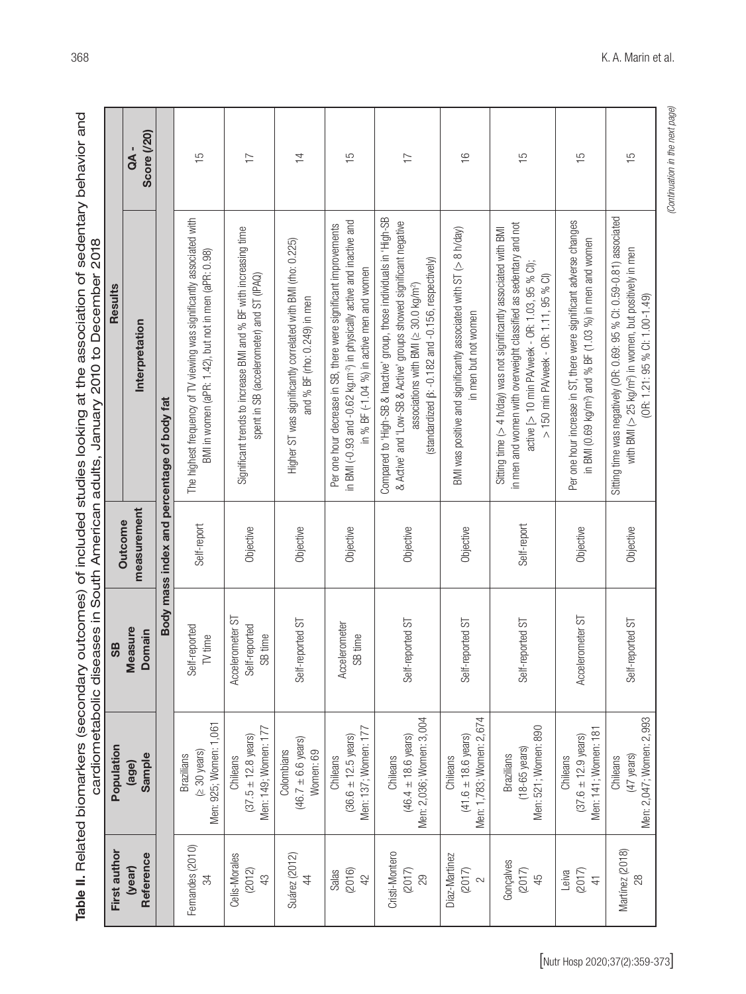Table II. Related biomarkers (secondary outcomes) of included studies looking at the association of sedentary behavior and Table II. Related biomarkers (secondary outcomes) of included studies looking at the association of sedentary behavior and<br>cardiometabolic diseases in South American adults. January 2010 to December 2018 cardiometabolic diseases in South American adults, January 2010 to December 2018

|                | OA-                    | <b>Score (/20)</b> |                                            | $\frac{5}{1}$                                                                                                                 | $\overline{1}$                                                                                                | $\overline{4}$                                                                               | $\frac{5}{1}$                                                                                                                                                                                       | $\overline{1}$                                                                                                                                                                                                                                                    | $\frac{6}{1}$                                                                                       | $\frac{5}{1}$                                                                                                                                                                                                                      | $\frac{5}{1}$                                                                                                                              | 15                                                                                                                                                                                 |
|----------------|------------------------|--------------------|--------------------------------------------|-------------------------------------------------------------------------------------------------------------------------------|---------------------------------------------------------------------------------------------------------------|----------------------------------------------------------------------------------------------|-----------------------------------------------------------------------------------------------------------------------------------------------------------------------------------------------------|-------------------------------------------------------------------------------------------------------------------------------------------------------------------------------------------------------------------------------------------------------------------|-----------------------------------------------------------------------------------------------------|------------------------------------------------------------------------------------------------------------------------------------------------------------------------------------------------------------------------------------|--------------------------------------------------------------------------------------------------------------------------------------------|------------------------------------------------------------------------------------------------------------------------------------------------------------------------------------|
| <b>Results</b> | Interpretation         |                    | Body mass index and percentage of body fat | The highest frequency of TV viewing was significantly associated with<br>BMI in women (aPR: 1.42), but not in men (aPR: 0.98) | Significant trends to increase BMI and % BF with increasing time<br>spent in SB (accelerometer) and ST (IPAQ) | Higher ST was significantly correlated with BMI (rho: 0.225)<br>and % BF (rho: 0.249) in men | in BMI (-0.93 and -0.62 kg.m <sup>-2</sup> ) in physically active and inactive and<br>Per one hour decrease in SB, there were significant improvements<br>in % BF (-1.04 %) in active men and women | Compared to 'High-SB & Inactive' group, those individuals in 'High-SB<br>& Active' and 'Low-SB & Active' groups showed significant negative<br>standardized $\beta$ : -0.182 and -0.156, respectively)<br>associations with BMI ( $\geq$ 30.0 kg/m <sup>2</sup> ) | BMI was positive and significantly associated with ST $(> 8 \text{ h/day})$<br>in men but not women | in men and women with overweight classified as sedentary and not<br>Sitting time (> 4 h/day) was not significantly associated with BMI<br>active [> 10 min PA/week - OR: 1.03, 95 % Cl);<br>> 150 min PA/week - OR: 1.11, 95 % Cl) | Per one hour increase in ST, there were significant adverse changes<br>in BMI (0.69 kg/m <sup>2</sup> ) and % BF (1.03 %) in men and women | Sitting time was negatively (OR: 0.69: 95 % CI: 0.59-0.81) associated<br>with BMI ( $>$ 25 kg/m <sup>2</sup> ) in women, but positively in men<br>$(OR: 1.21: 95 % CI: 1.00-1.49)$ |
|                | measurement<br>Outcome |                    |                                            | Self-report                                                                                                                   | Objective                                                                                                     | Objective                                                                                    | Objective                                                                                                                                                                                           | Objective                                                                                                                                                                                                                                                         | Objective                                                                                           | Self-report                                                                                                                                                                                                                        | Objective                                                                                                                                  | Objective                                                                                                                                                                          |
| SB             | <b>Measure</b>         | Domain             |                                            | Self-reported<br>TV time                                                                                                      | Accelerometer ST<br>Self-reported<br>SB time                                                                  | Self-reported ST                                                                             | Accelerometer<br>SB time                                                                                                                                                                            | Self-reported ST                                                                                                                                                                                                                                                  | Self-reported ST                                                                                    | Self-reported ST                                                                                                                                                                                                                   | Accelerometer ST                                                                                                                           | Self-reported ST                                                                                                                                                                   |
| Population     | (age)                  | Sample             |                                            | Men: 925; Women: 1,061<br>$(230 \text{ years})$<br><b>Brazilians</b>                                                          | Men: 149; Women: 177<br>$(37.5 \pm 12.8 \text{ years})$<br>Chileans                                           | $(46.7 \pm 6.6 \text{ years})$<br>Colombians<br>Women: 69                                    | Men: 137; Women: 177<br>$(36.6 \pm 12.5 \text{ years})$<br>Chileans                                                                                                                                 | Men: 2,036; Women: 3,004<br>$(46.4 \pm 18.6 \text{ years})$<br>Chileans                                                                                                                                                                                           | Men: 1,783; Women: 2,674<br>$(41.6 \pm 18.6 \text{ years})$<br>Chileans                             | Men: 521; Women: 890<br>$(18-65 \text{ years})$<br><b>Brazilians</b>                                                                                                                                                               | Men: 141; Women: 181<br>$(37.6 \pm 12.9 \text{ years})$<br>Chileans                                                                        | Men: 2,047; Women: 2,993<br>(47 years)<br>Chileans                                                                                                                                 |
| First author   | (year)                 | Reference          |                                            | Femandes (2010)<br>34                                                                                                         | Celis-Morales<br>(2012)<br>43                                                                                 | Suárez (2012)<br>$\overline{4}$                                                              | (2016)<br>Salas<br>42                                                                                                                                                                               | Cristi-Montero<br>(2017)<br>29                                                                                                                                                                                                                                    | Diaz-Martinez<br>(2017)<br>$\sim$                                                                   | Gonçalves<br>(2017)<br>45                                                                                                                                                                                                          | (2017)<br>Leiva<br>$\overline{4}$                                                                                                          | Martínez (2018)                                                                                                                                                                    |

(Continuation in the next page) *(Continuation in the next page)*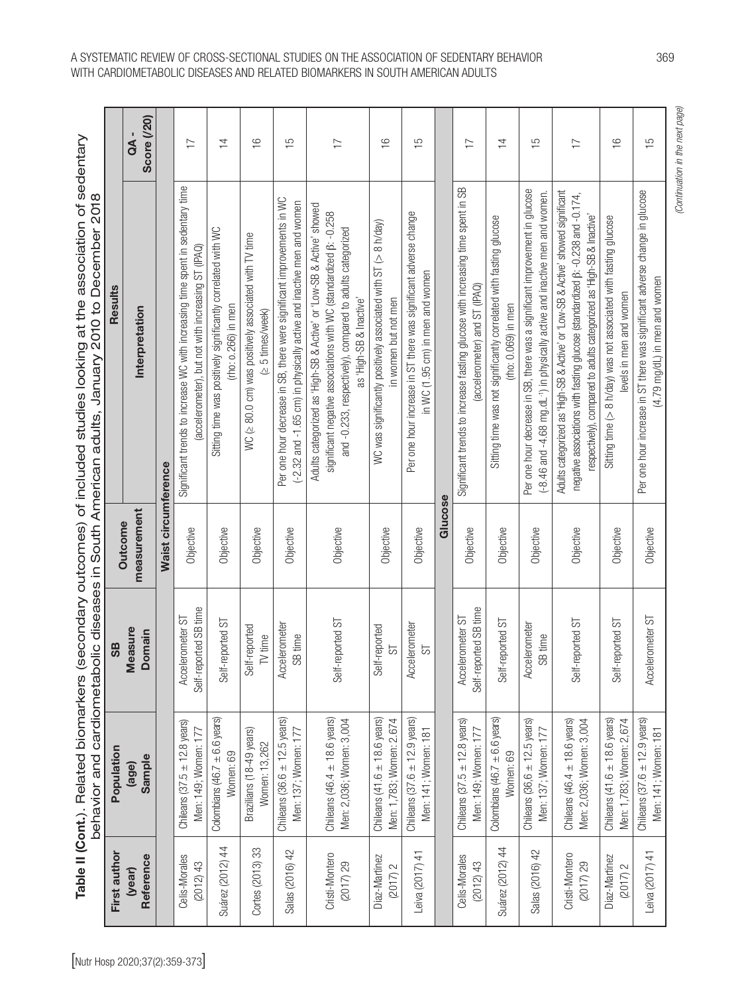Table II (Cont.). Related biomarkers (secondary outcomes) of included studies looking at the association of sedentary Table II (Cont.). Related biomarkers (secondary outcomes) of included studies looking at the association of sedentary behavior and cardiometabolic diseases in South American adults, January 2010 to December 2018

|                             |                                                                   |                                           |                     | behavior and cardiometabolic diseases in South American adults, January 2010 to December 2018                                                                                                                                                      |                                    |
|-----------------------------|-------------------------------------------------------------------|-------------------------------------------|---------------------|----------------------------------------------------------------------------------------------------------------------------------------------------------------------------------------------------------------------------------------------------|------------------------------------|
| First author                | Population                                                        | SB                                        | Outcome             | Results                                                                                                                                                                                                                                            |                                    |
| Reference<br>(year)         | Sample<br>(age)                                                   | Measure<br>Domain                         | measurement         | Interpretation                                                                                                                                                                                                                                     | <b>Score (/20)</b><br>$\mathsf{A}$ |
|                             |                                                                   |                                           | Waist circumference |                                                                                                                                                                                                                                                    |                                    |
| Celis-Morales<br>(2012)43   | Chileans $(37.5 \pm 12.8$ years)<br>Men: 149; Women: 177          | Self-reported SB time<br>Accelerometer ST | Objective           | Significant trends to increase WC with increasing time spent in sedentary time<br>(accelerometer), but not with increasing ST (IPAQ)                                                                                                               | $\overline{1}$                     |
| $\ddot{4}$<br>Suárez (2012) | Colombians (46.7 $\pm$ 6.6 years)<br>Women: 69                    | Self-reported ST                          | Objective           | Sitting time was positively significantly correlated with WC<br>$($ rho $:$ o. $266$ ) in men                                                                                                                                                      | $\overline{4}$                     |
| Cortes (2013) 33            | Brazilians (18-49 years)<br>Women: 13,262                         | Self-reported<br>TV time                  | Objective           | WC ( $\geq$ 80.0 cm) was positively associated with TV time<br>(≥ 5 times/week)                                                                                                                                                                    | $\frac{6}{5}$                      |
| Salas (2016) 42             | Chileans $(36.6 \pm 12.5 \text{ years})$<br>Men: 137; Women: 177  | Accelerometer<br>SB time                  | Objective           | Per one hour decrease in SB, there were significant improvements in WC<br>(-2.32 and -1.65 cm) in physically active and inactive men and women                                                                                                     | $\frac{5}{1}$                      |
| Cristi-Montero<br>(2017)29  | Chileans $(46.4 \pm 18.6$ years)<br>Men: 2,036; Women: 3,004      | Self-reported ST                          | Objective           | Adults categorized as 'High-SB & Active' or 'Low-SB & Active' showed<br>significant negative associations with WC (standardized $\beta$ : -0.258<br>and -0.233, respectively), compared to adults categorized<br>as 'High-SB & Inactive'           | $\overline{1}$                     |
| Diaz-Martinez<br>(2017) 2   | Chileans $(41.6 \pm 18.6$ years)<br>Men: 1,783; Women: 2.674      | Self-reported<br>55                       | Objective           | WC was significantly positively associated with ST (> 8 h/day)<br>in women but not men                                                                                                                                                             | $\frac{6}{1}$                      |
| Leiva (2017) 41             | Chileans $(37.6 \pm 12.9 \text{ years})$<br>Men: 141; Women: 181  | Accelerometer<br>55                       | Objective           | Per one hour increase in ST there was significant adverse change<br>in WC (1.95 cm) in men and women                                                                                                                                               | $\frac{5}{1}$                      |
|                             |                                                                   |                                           | Glucose             |                                                                                                                                                                                                                                                    |                                    |
| Celis-Morales<br>(2012)43   | Chileans $(37.5 \pm 12.8$ years)<br>Men: 149; Women: 177          | Self-reported SB time<br>Accelerometer ST | Objective           | Significant trends to increase fasting glucose with increasing time spent in SB<br>(accelerometer) and ST (IPAQ)                                                                                                                                   | $\overline{1}$                     |
| Suárez (2012) 44            | Colombians (46.7 $\pm$ 6.6 years)<br>Women: 69                    | Self-reported ST                          | Objective           | Sitting time was not significantly correlated with fasting glucose<br>$($ rho: 0.069 $)$ in men                                                                                                                                                    | $\overline{4}$                     |
| Salas (2016) 42             | Chileans $(36, 6 \pm 12.5 \text{ years})$<br>Men: 137; Women: 177 | Accelerometer<br>SB time                  | Objective           | Per one hour decrease in SB, there was a significant improvement in glucose<br>(-8.46 and -4.68 mg.dL <sup>-1</sup> ) in physically active and inactive men and women.                                                                             | $\frac{5}{1}$                      |
| Cristi-Montero<br>(2017)29  | Chileans $(46.4 \pm 18.6$ years)<br>Men: 2,036; Women: 3,004      | Self-reported ST                          | Objective           | Adults categorized as 'High-SB & Active' or 'Low-SB & Active' showed significant<br>negative associations with fasting glucose (standardized $\beta$ : -0.238 and -0.174,<br>respectively), compared to adults categorized as 'High-SB & Inactive' | $\overline{1}$                     |
| Diaz-Martinez<br>(2017) 2   | Chileans $(41.6 \pm 18.6$ years)<br>Men: 1,783; Women: 2,674      | Self-reported ST                          | Objective           | Sitting time (> 8 h/day) was not associated with fasting glucose<br>levels in men and women                                                                                                                                                        | $\frac{6}{1}$                      |
| Leiva (2017) 41             | Chileans $(37.6 \pm 12.9 \text{ years})$<br>Men: 141; Women: 181  | Accelerometer ST                          | Objective           | Per one hour increase in ST there was significant adverse change in glucose<br>$(4.79 \text{ mg/dL})$ in men and women                                                                                                                             | $\frac{5}{1}$                      |
|                             |                                                                   |                                           |                     |                                                                                                                                                                                                                                                    | (Continuation in the next page)    |

## A SYSTEMATIC REVIEW OF CROSS-SECTIONAL STUDIES ON THE ASSOCIATION OF SEDENTARY BEHAVIOR 369 WITH CARDIOMETABOLIC DISEASES AND RELATED BIOMARKERS IN SOUTH AMERICAN ADULTS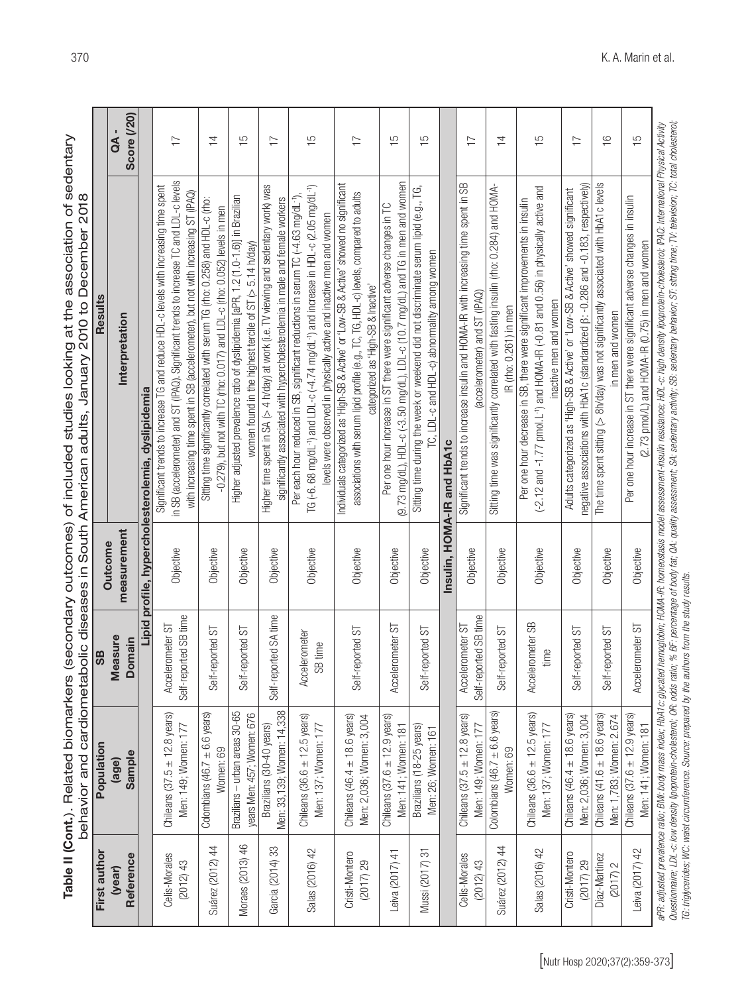Table II (Cont.). Related biomarkers (secondary outcomes) of included studies looking at the association of sedentary Table II (Cont.). Related biomarkers (secondary outcomes) of included studies looking at the association of sedentary<br>behavior and cardiometabolic diseases in South American adults, January 2010 to December 2018 behavior and cardiometabolic diseases in South American adults, January 2010 to December 2018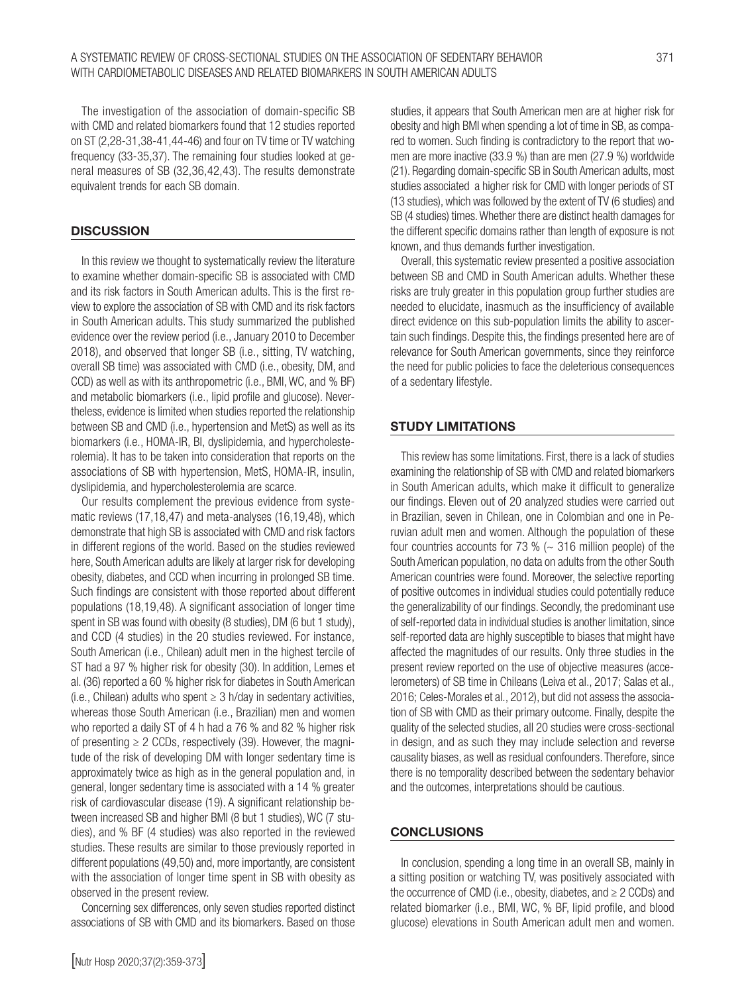The investigation of the association of domain-specific SB with CMD and related biomarkers found that 12 studies reported on ST (2,28-31,38-41,44-46) and four on TV time or TV watching frequency (33-35,37). The remaining four studies looked at general measures of SB (32,36,42,43). The results demonstrate equivalent trends for each SB domain.

## **DISCUSSION**

In this review we thought to systematically review the literature to examine whether domain-specific SB is associated with CMD and its risk factors in South American adults. This is the first review to explore the association of SB with CMD and its risk factors in South American adults. This study summarized the published evidence over the review period (i.e., January 2010 to December 2018), and observed that longer SB (i.e., sitting, TV watching, overall SB time) was associated with CMD (i.e., obesity, DM, and CCD) as well as with its anthropometric (i.e., BMI, WC, and % BF) and metabolic biomarkers (i.e., lipid profile and glucose). Nevertheless, evidence is limited when studies reported the relationship between SB and CMD (i.e., hypertension and MetS) as well as its biomarkers (i.e., HOMA-IR, BI, dyslipidemia, and hypercholesterolemia). It has to be taken into consideration that reports on the associations of SB with hypertension, MetS, HOMA-IR, insulin, dyslipidemia, and hypercholesterolemia are scarce.

Our results complement the previous evidence from systematic reviews (17,18,47) and meta-analyses (16,19,48), which demonstrate that high SB is associated with CMD and risk factors in different regions of the world. Based on the studies reviewed here, South American adults are likely at larger risk for developing obesity, diabetes, and CCD when incurring in prolonged SB time. Such findings are consistent with those reported about different populations (18,19,48). A significant association of longer time spent in SB was found with obesity (8 studies), DM (6 but 1 study), and CCD (4 studies) in the 20 studies reviewed. For instance, South American (i.e., Chilean) adult men in the highest tercile of ST had a 97 % higher risk for obesity (30). In addition, Lemes et al. (36) reported a 60 % higher risk for diabetes in South American (i.e., Chilean) adults who spent  $\geq 3$  h/day in sedentary activities, whereas those South American (i.e., Brazilian) men and women who reported a daily ST of 4 h had a 76 % and 82 % higher risk of presenting  $\geq 2$  CCDs, respectively (39). However, the magnitude of the risk of developing DM with longer sedentary time is approximately twice as high as in the general population and, in general, longer sedentary time is associated with a 14 % greater risk of cardiovascular disease (19). A significant relationship between increased SB and higher BMI (8 but 1 studies), WC (7 studies), and % BF (4 studies) was also reported in the reviewed studies. These results are similar to those previously reported in different populations (49,50) and, more importantly, are consistent with the association of longer time spent in SB with obesity as observed in the present review.

Concerning sex differences, only seven studies reported distinct associations of SB with CMD and its biomarkers. Based on those studies, it appears that South American men are at higher risk for obesity and high BMI when spending a lot of time in SB, as compared to women. Such finding is contradictory to the report that women are more inactive (33.9 %) than are men (27.9 %) worldwide (21). Regarding domain-specific SB in South American adults, most studies associated a higher risk for CMD with longer periods of ST (13 studies), which was followed by the extent of TV (6 studies) and SB (4 studies) times. Whether there are distinct health damages for the different specific domains rather than length of exposure is not known, and thus demands further investigation.

Overall, this systematic review presented a positive association between SB and CMD in South American adults. Whether these risks are truly greater in this population group further studies are needed to elucidate, inasmuch as the insufficiency of available direct evidence on this sub-population limits the ability to ascertain such findings. Despite this, the findings presented here are of relevance for South American governments, since they reinforce the need for public policies to face the deleterious consequences of a sedentary lifestyle.

### STUDY LIMITATIONS

This review has some limitations. First, there is a lack of studies examining the relationship of SB with CMD and related biomarkers in South American adults, which make it difficult to generalize our findings. Eleven out of 20 analyzed studies were carried out in Brazilian, seven in Chilean, one in Colombian and one in Peruvian adult men and women. Although the population of these four countries accounts for 73 %  $\left(\sim$  316 million people) of the South American population, no data on adults from the other South American countries were found. Moreover, the selective reporting of positive outcomes in individual studies could potentially reduce the generalizability of our findings. Secondly, the predominant use of self-reported data in individual studies is another limitation, since self-reported data are highly susceptible to biases that might have affected the magnitudes of our results. Only three studies in the present review reported on the use of objective measures (accelerometers) of SB time in Chileans (Leiva et al., 2017; Salas et al., 2016; Celes-Morales et al., 2012), but did not assess the association of SB with CMD as their primary outcome. Finally, despite the quality of the selected studies, all 20 studies were cross-sectional in design, and as such they may include selection and reverse causality biases, as well as residual confounders. Therefore, since there is no temporality described between the sedentary behavior and the outcomes, interpretations should be cautious.

#### **CONCLUSIONS**

In conclusion, spending a long time in an overall SB, mainly in a sitting position or watching TV, was positively associated with the occurrence of CMD (i.e., obesity, diabetes, and  $\geq 2$  CCDs) and related biomarker (i.e., BMI, WC, % BF, lipid profile, and blood glucose) elevations in South American adult men and women.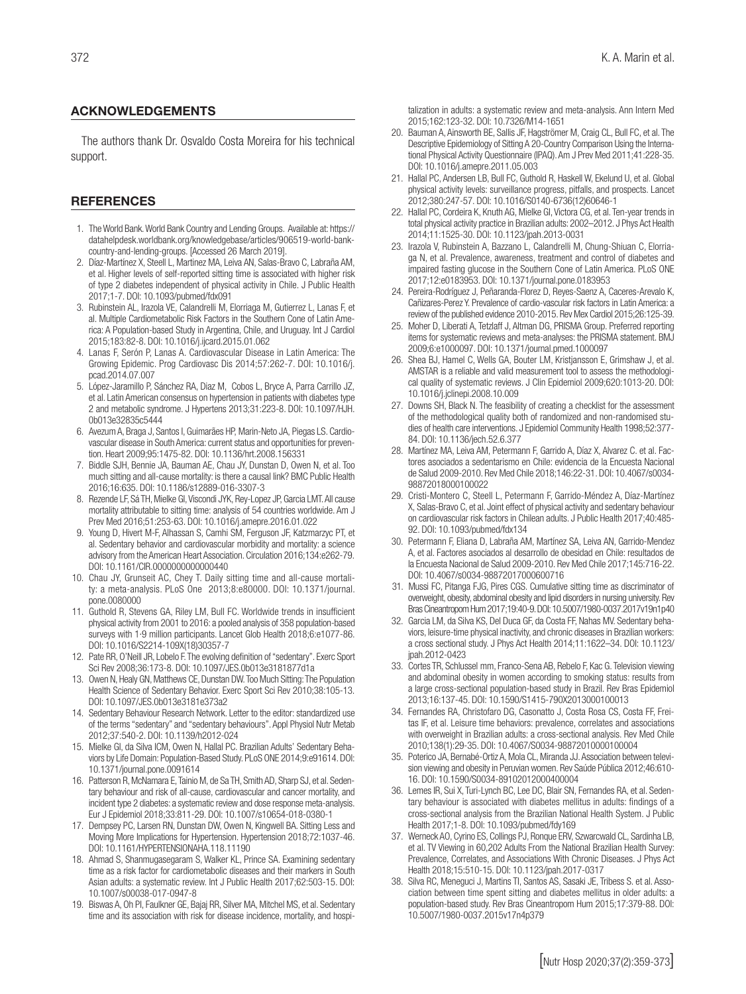#### ACKNOWLEDGEMENTS

The authors thank Dr. Osvaldo Costa Moreira for his technical support.

#### **REFERENCES**

- 1. The World Bank. World Bank Country and Lending Groups. Available at: https:// datahelpdesk.worldbank.org/knowledgebase/articles/906519-world-bankcountry-and-lending-groups. [Accessed 26 March 2019].
- 2. Díaz-Martínez X, Steell L, Martinez MA, Leiva AN, Salas-Bravo C, Labraña AM, et al. Higher levels of self-reported sitting time is associated with higher risk of type 2 diabetes independent of physical activity in Chile. J Public Health 2017;1-7. DOI: 10.1093/pubmed/fdx091
- 3. Rubinstein AL, Irazola VE, Calandrelli M, Elorriaga M, Gutierrez L, Lanas F, et al. Multiple Cardiometabolic Risk Factors in the Southern Cone of Latin America: A Population-based Study in Argentina, Chile, and Uruguay. Int J Cardiol 2015;183:82-8. DOI: 10.1016/j.ijcard.2015.01.062
- 4. Lanas F, Serón P, Lanas A. Cardiovascular Disease in Latin America: The Growing Epidemic. Prog Cardiovasc Dis 2014;57:262-7. DOI: 10.1016/j. pcad.2014.07.007
- 5. López-Jaramillo P, Sánchez RA, Diaz M, Cobos L, Bryce A, Parra Carrillo JZ, et al. Latin American consensus on hypertension in patients with diabetes type 2 and metabolic syndrome. J Hypertens 2013;31:223-8. DOI: 10.1097/HJH. 0b013e32835c5444
- 6. Avezum A, Braga J, Santos I, Guimarães HP, Marin-Neto JA, Piegas LS. Cardiovascular disease in South America: current status and opportunities for prevention. Heart 2009;95:1475-82. DOI: 10.1136/hrt.2008.156331
- 7. Biddle SJH, Bennie JA, Bauman AE, Chau JY, Dunstan D, Owen N, et al. Too much sitting and all-cause mortality: is there a causal link? BMC Public Health 2016;16:635. DOI: 10.1186/s12889-016-3307-3
- 8. Rezende LF, Sá TH, Mielke GI, Viscondi JYK, Rey-Lopez JP, Garcia LMT. All cause mortality attributable to sitting time: analysis of 54 countries worldwide. Am J Prev Med 2016;51:253-63. DOI: 10.1016/j.amepre.2016.01.022
- 9. Young D, Hivert M-F, Alhassan S, Camhi SM, Ferguson JF, Katzmarzyc PT, et al. Sedentary behavior and cardiovascular morbidity and mortality: a science advisory from the American Heart Association. Circulation 2016;134:e262-79. DOI: 10.1161/CIR.0000000000000440
- 10. Chau JY, Grunseit AC, Chey T. Daily sitting time and all-cause mortality: a meta-analysis. PLoS One 2013;8:e80000. DOI: 10.1371/journal. pone.0080000
- 11. Guthold R, Stevens GA, Riley LM, Bull FC. Worldwide trends in insufficient physical activity from 2001 to 2016: a pooled analysis of 358 population-based surveys with 1·9 million participants. Lancet Glob Health 2018;6:e1077-86. DOI: 10.1016/S2214-109X(18)30357-7
- 12. Pate RR, O'Neill JR, Lobelo F. The evolving definition of "sedentary". Exerc Sport Sci Rev 2008;36:173-8. DOI: 10.1097/JES.0b013e3181877d1a
- 13. Owen N, Healy GN, Matthews CE, Dunstan DW. Too Much Sitting: The Population Health Science of Sedentary Behavior. Exerc Sport Sci Rev 2010;38:105-13. DOI: 10.1097/JES.0b013e3181e373a2
- 14. Sedentary Behaviour Research Network. Letter to the editor: standardized use of the terms "sedentary" and "sedentary behaviours". Appl Physiol Nutr Metab 2012;37:540-2. DOI: 10.1139/h2012-024
- 15. Mielke GI, da Silva ICM, Owen N, Hallal PC. Brazilian Adults' Sedentary Behaviors by Life Domain: Population-Based Study. PLoS ONE 2014;9:e91614. DOI: 10.1371/journal.pone.0091614
- 16. Patterson R, McNamara E, Tainio M, de Sa TH, Smith AD, Sharp SJ, et al. Sedentary behaviour and risk of all-cause, cardiovascular and cancer mortality, and incident type 2 diabetes: a systematic review and dose response meta-analysis. Eur J Epidemiol 2018;33:811-29. DOI: 10.1007/s10654-018-0380-1
- 17. Dempsey PC, Larsen RN, Dunstan DW, Owen N, Kingwell BA. Sitting Less and Moving More Implications for Hypertension. Hypertension 2018;72:1037-46. DOI: 10.1161/HYPERTENSIONAHA.118.11190
- 18. Ahmad S, Shanmugasegaram S, Walker KL, Prince SA. Examining sedentary time as a risk factor for cardiometabolic diseases and their markers in South Asian adults: a systematic review. Int J Public Health 2017;62:503-15. DOI: 10.1007/s00038-017-0947-8
- 19. Biswas A, Oh PI, Faulkner GE, Bajaj RR, Silver MA, Mitchel MS, et al. Sedentary time and its association with risk for disease incidence, mortality, and hospi-

talization in adults: a systematic review and meta-analysis. Ann Intern Med 2015;162:123-32. DOI: 10.7326/M14-1651

- 20. Bauman A, Ainsworth BE, Sallis JF, Hagströmer M, Craig CL, Bull FC, et al. The Descriptive Epidemiology of Sitting A 20-Country Comparison Using the International Physical Activity Questionnaire (IPAQ). Am J Prev Med 2011;41:228-35. DOI: 10.1016/j.amepre.2011.05.003
- 21. Hallal PC, Andersen LB, Bull FC, Guthold R, Haskell W, Ekelund U, et al. Global physical activity levels: surveillance progress, pitfalls, and prospects. Lancet 2012;380:247-57. DOI: 10.1016/S0140-6736(12)60646-1
- 22. Hallal PC, Cordeira K, Knuth AG, Mielke GI, Victora CG, et al. Ten-year trends in total physical activity practice in Brazilian adults: 2002–2012. J Phys Act Health 2014;11:1525-30. DOI: 10.1123/jpah.2013-0031
- 23. Irazola V, Rubinstein A, Bazzano L, Calandrelli M, Chung-Shiuan C, Elorriaga N, et al. Prevalence, awareness, treatment and control of diabetes and impaired fasting glucose in the Southern Cone of Latin America. PLoS ONE 2017;12:e0183953. DOI: 10.1371/journal.pone.0183953
- 24. Pereira-Rodríguez J, Peñaranda-Florez D, Reyes-Saenz A, Caceres-Arevalo K, Cañizares-Perez Y. Prevalence of cardio-vascular risk factors in Latin America: a review of the published evidence 2010-2015. Rev Mex Cardiol 2015;26:125-39.
- 25. Moher D, Liberati A, Tetzlaff J, Altman DG, PRISMA Group. Preferred reporting items for systematic reviews and meta-analyses: the PRISMA statement. BMJ 2009;6:e1000097. DOI: 10.1371/journal.pmed.1000097
- 26. Shea BJ, Hamel C, Wells GA, Bouter LM, Kristjansson E, Grimshaw J, et al. AMSTAR is a reliable and valid measurement tool to assess the methodological quality of systematic reviews. J Clin Epidemiol 2009;620:1013-20. DOI: 10.1016/j.jclinepi.2008.10.009
- 27. Downs SH, Black N. The feasibility of creating a checklist for the assessment of the methodological quality both of randomized and non-randomised studies of health care interventions. J Epidemiol Community Health 1998;52:377- 84. DOI: 10.1136/jech.52.6.377
- 28. Martínez MA, Leiva AM, Petermann F, Garrido A, Díaz X, Alvarez C. et al. Factores asociados a sedentarismo en Chile: evidencia de la Encuesta Nacional de Salud 2009-2010. Rev Med Chile 2018;146:22-31. DOI: 10.4067/s0034- 98872018000100022
- 29. Cristi-Montero C, Steell L, Petermann F, Garrido-Méndez A, Díaz-Martínez X, Salas-Bravo C, et al. Joint effect of physical activity and sedentary behaviour on cardiovascular risk factors in Chilean adults. J Public Health 2017;40:485- 92. DOI: 10.1093/pubmed/fdx134
- 30. Petermann F, Eliana D, Labraña AM, Martínez SA, Leiva AN, Garrido-Mendez A, et al. Factores asociados al desarrollo de obesidad en Chile: resultados de la Encuesta Nacional de Salud 2009-2010. Rev Med Chile 2017;145:716-22. DOI: 10.4067/s0034-98872017000600716
- 31. Mussi FC, Pitanga FJG, Pires CGS. Cumulative sitting time as discriminator of overweight, obesity, abdominal obesity and lipid disorders in nursing university. Rev Bras Cineantropom Hum 2017;19:40-9. DOI: 10.5007/1980-0037.2017v19n1p40
- 32. Garcia LM, da Silva KS, Del Duca GF, da Costa FF, Nahas MV. Sedentary behaviors, leisure-time physical inactivity, and chronic diseases in Brazilian workers: a cross sectional study. J Phys Act Health 2014;11:1622–34. DOI: 10.1123/ jpah.2012-0423
- 33. Cortes TR, Schlussel mm, Franco-Sena AB, Rebelo F, Kac G. Television viewing and abdominal obesity in women according to smoking status: results from a large cross-sectional population-based study in Brazil. Rev Bras Epidemiol 2013;16:137-45. DOI: 10.1590/S1415-790X2013000100013
- 34. Fernandes RA, Christofaro DG, Casonatto J, Costa Rosa CS, Costa FF, Freitas IF, et al. Leisure time behaviors: prevalence, correlates and associations with overweight in Brazilian adults: a cross-sectional analysis. Rev Med Chile 2010;138(1):29-35. DOI: 10.4067/S0034-98872010000100004
- 35. Poterico JA, Bernabé-Ortiz A, Mola CL, Miranda JJ. Association between television viewing and obesity in Peruvian women. Rev Saúde Pública 2012;46:610- 16. DOI: 10.1590/S0034-89102012000400004
- 36. Lemes IR, Sui X, Turi-Lynch BC, Lee DC, Blair SN, Fernandes RA, et al. Sedentary behaviour is associated with diabetes mellitus in adults: findings of a cross-sectional analysis from the Brazilian National Health System. J Public Health 2017;1-8. DOI: 10.1093/pubmed/fdy169
- 37. Werneck AO, Cyrino ES, Collings PJ, Ronque ERV, Szwarcwald CL, Sardinha LB, et al. TV Viewing in 60,202 Adults From the National Brazilian Health Survey: Prevalence, Correlates, and Associations With Chronic Diseases. J Phys Act Health 2018;15:510-15. DOI: 10.1123/jpah.2017-0317
- 38. Silva RC, Meneguci J, Martins TI, Santos AS, Sasaki JE, Tribess S. et al. Association between time spent sitting and diabetes mellitus in older adults: a population-based study. Rev Bras Cineantropom Hum 2015;17:379-88. DOI: 10.5007/1980-0037.2015v17n4p379